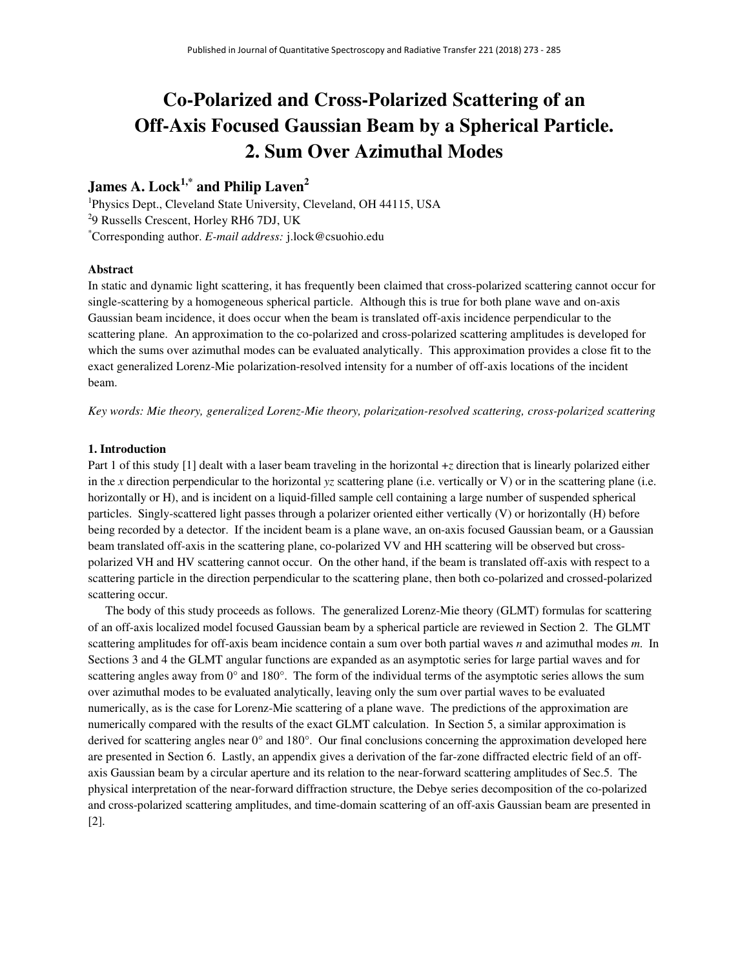# **Co-Polarized and Cross-Polarized Scattering of an Off-Axis Focused Gaussian Beam by a Spherical Particle. 2. Sum Over Azimuthal Modes**

# **James A. Lock1,\* and Philip Laven<sup>2</sup>**

<sup>1</sup>Physics Dept., Cleveland State University, Cleveland, OH 44115, USA <sup>2</sup>9 Russells Crescent, Horley RH6 7DJ, UK \*Corresponding author. *E-mail address:* j.lock@csuohio.edu

# **Abstract**

In static and dynamic light scattering, it has frequently been claimed that cross-polarized scattering cannot occur for single-scattering by a homogeneous spherical particle. Although this is true for both plane wave and on-axis Gaussian beam incidence, it does occur when the beam is translated off-axis incidence perpendicular to the scattering plane. An approximation to the co-polarized and cross-polarized scattering amplitudes is developed for which the sums over azimuthal modes can be evaluated analytically. This approximation provides a close fit to the exact generalized Lorenz-Mie polarization-resolved intensity for a number of off-axis locations of the incident beam.

*Key words: Mie theory, generalized Lorenz-Mie theory, polarization-resolved scattering, cross-polarized scattering* 

# **1. Introduction**

Part 1 of this study [1] dealt with a laser beam traveling in the horizontal +*z* direction that is linearly polarized either in the *x* direction perpendicular to the horizontal *yz* scattering plane (i.e. vertically or V) or in the scattering plane (i.e. horizontally or H), and is incident on a liquid-filled sample cell containing a large number of suspended spherical particles. Singly-scattered light passes through a polarizer oriented either vertically (V) or horizontally (H) before being recorded by a detector. If the incident beam is a plane wave, an on-axis focused Gaussian beam, or a Gaussian beam translated off-axis in the scattering plane, co-polarized VV and HH scattering will be observed but crosspolarized VH and HV scattering cannot occur. On the other hand, if the beam is translated off-axis with respect to a scattering particle in the direction perpendicular to the scattering plane, then both co-polarized and crossed-polarized scattering occur.

The body of this study proceeds as follows. The generalized Lorenz-Mie theory (GLMT) formulas for scattering of an off-axis localized model focused Gaussian beam by a spherical particle are reviewed in Section 2. The GLMT scattering amplitudes for off-axis beam incidence contain a sum over both partial waves *n* and azimuthal modes *m*. In Sections 3 and 4 the GLMT angular functions are expanded as an asymptotic series for large partial waves and for scattering angles away from  $0^{\circ}$  and  $180^{\circ}$ . The form of the individual terms of the asymptotic series allows the sum over azimuthal modes to be evaluated analytically, leaving only the sum over partial waves to be evaluated numerically, as is the case for Lorenz-Mie scattering of a plane wave. The predictions of the approximation are numerically compared with the results of the exact GLMT calculation. In Section 5, a similar approximation is derived for scattering angles near 0° and 180°. Our final conclusions concerning the approximation developed here are presented in Section 6. Lastly, an appendix gives a derivation of the far-zone diffracted electric field of an offaxis Gaussian beam by a circular aperture and its relation to the near-forward scattering amplitudes of Sec.5. The physical interpretation of the near-forward diffraction structure, the Debye series decomposition of the co-polarized and cross-polarized scattering amplitudes, and time-domain scattering of an off-axis Gaussian beam are presented in [2].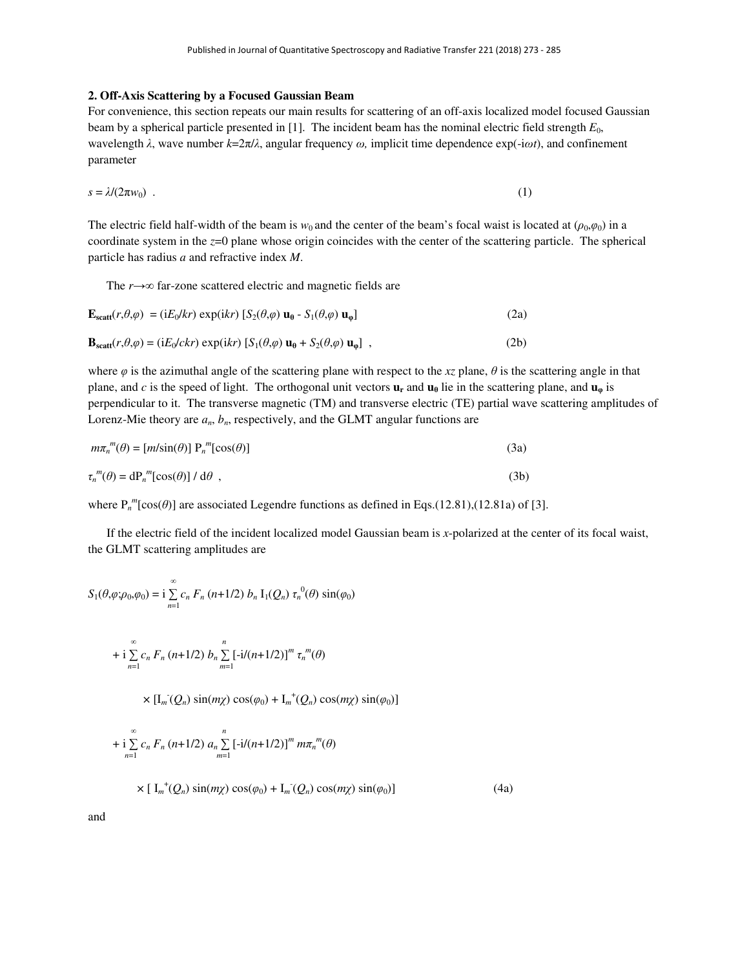# **2. Off-Axis Scattering by a Focused Gaussian Beam**

For convenience, this section repeats our main results for scattering of an off-axis localized model focused Gaussian beam by a spherical particle presented in [1]. The incident beam has the nominal electric field strength  $E_0$ , wavelength *λ*, wave number *k*=2π/*λ*, angular frequency *ω,* implicit time dependence exp(-i*ωt*), and confinement parameter

$$
s = \lambda/(2\pi w_0) \tag{1}
$$

The electric field half-width of the beam is  $w_0$  and the center of the beam's focal waist is located at  $(\rho_0, \varphi_0)$  in a coordinate system in the *z*=0 plane whose origin coincides with the center of the scattering particle. The spherical particle has radius *a* and refractive index *M*.

The *r*→∞ far-zone scattered electric and magnetic fields are

$$
\mathbf{E}_{scatt}(r,\theta,\varphi) = (iE_0/kr) \exp(ikr) [S_2(\theta,\varphi) \mathbf{u}_\theta - S_1(\theta,\varphi) \mathbf{u}_\varphi]
$$
\n(2a)  
\n
$$
\mathbf{B}_{scatt}(r,\theta,\varphi) = (iE_0/ckr) \exp(ikr) [S_1(\theta,\varphi) \mathbf{u}_\theta + S_2(\theta,\varphi) \mathbf{u}_\varphi],
$$
\n(2b)

where  $\varphi$  is the azimuthal angle of the scattering plane with respect to the *xz* plane,  $\theta$  is the scattering angle in that plane, and *c* is the speed of light. The orthogonal unit vectors  $\mathbf{u}_r$  and  $\mathbf{u}_\theta$  lie in the scattering plane, and  $\mathbf{u}_\phi$  is perpendicular to it. The transverse magnetic (TM) and transverse electric (TE) partial wave scattering amplitudes of Lorenz-Mie theory are  $a_n$ ,  $b_n$ , respectively, and the GLMT angular functions are

| $m\pi_n^m(\theta) = [m/\sin(\theta)] P_n^m[\cos(\theta)]$   | (3a) |
|-------------------------------------------------------------|------|
| $\tau_n^{\,m}(\theta) = dP_n^{\,m}[\cos(\theta)] / d\theta$ | (3b) |

where  $P_n^m$ [cos( $\theta$ )] are associated Legendre functions as defined in Eqs.(12.81),(12.81a) of [3].

 If the electric field of the incident localized model Gaussian beam is *x*-polarized at the center of its focal waist, the GLMT scattering amplitudes are

$$
S_1(\theta, \varphi; \rho_0, \varphi_0) = i \sum_{n=1}^{\infty} c_n F_n (n+1/2) b_n I_1(Q_n) \tau_n^{0}(\theta) \sin(\varphi_0)
$$

+ i 
$$
\sum_{n=1}^{\infty} c_n F_n (n+1/2) b_n \sum_{m=1}^{n} [-i/(n+1/2)]^m \tau_n^m(\theta)
$$

 $\times$  [I<sub>m</sub><sup>-</sup>( $Q_n$ ) sin(*m*<sub> $\chi$ </sub>) cos( $\varphi_0$ ) + I<sub>m</sub><sup>+</sup>( $Q_n$ ) cos(*m*<sub> $\chi$ </sub>) sin( $\varphi_0$ )]

+ 
$$
i \sum_{n=1}^{\infty} c_n F_n (n+1/2) a_n \sum_{m=1}^{n} [-i/(n+1/2)]^m m \pi_n^m(\theta)
$$
  
×  $[I_m^+(\mathcal{Q}_n) \sin(m\chi) \cos(\varphi_0) + I_m^-(\mathcal{Q}_n) \cos(m\chi) \sin(\varphi_0)]$  (4a)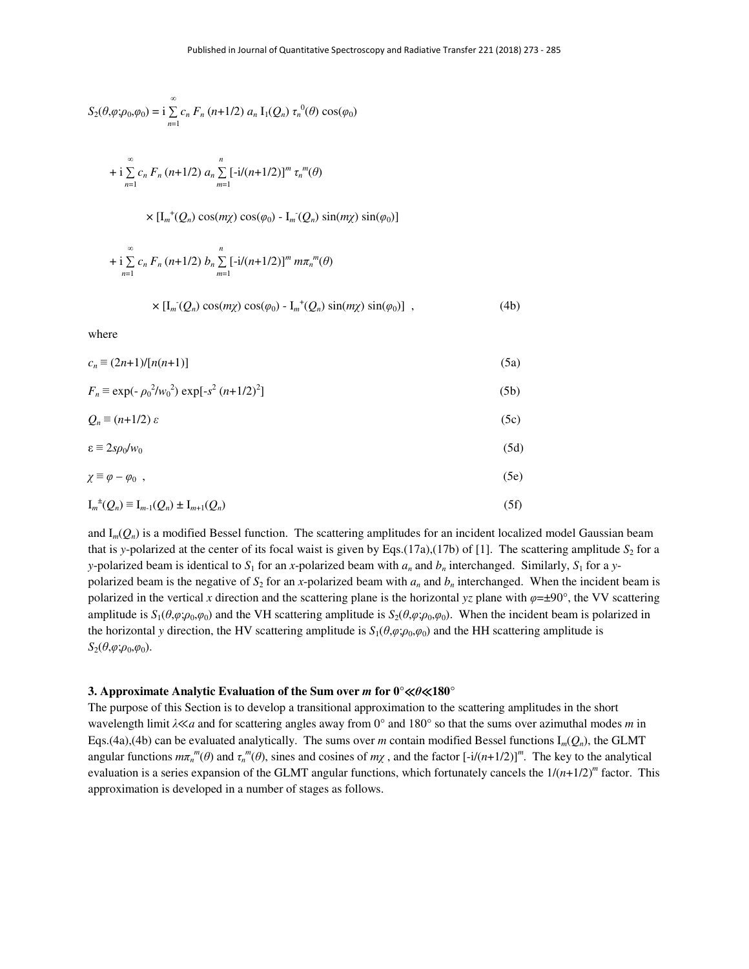$$
S_2(\theta, \varphi; \rho_0, \varphi_0) = \mathrm{i} \sum_{n=1}^{\infty} c_n F_n \left( n + 1/2 \right) a_n \, \mathrm{I}_1(Q_n) \, \tau_n^{0}(\theta) \cos(\varphi_0)
$$

+ i 
$$
\sum_{n=1}^{\infty} c_n F_n (n+1/2) a_n \sum_{m=1}^{n} [-i/(n+1/2)]^m \tau_n^m(\theta)
$$

 $\times$  [I<sub>m</sub><sup>+</sup>(Q<sub>n</sub>)</sub> cos(m<sub> $\chi$ </sub>) cos( $\varphi$ <sub>0</sub>) - I<sub>m</sub><sup>-</sup>(Q<sub>n</sub>) sin(m<sub> $\chi$ </sub>) sin( $\varphi$ <sub>0</sub>)]

+ i 
$$
\sum_{n=1}^{\infty} c_n F_n (n+1/2) b_n \sum_{m=1}^{n} [-i/(n+1/2)]^m m \pi_n^m(\theta)
$$

$$
\times \left[\mathrm{I}_{m}(Q_{n}) \cos(m \chi) \cos(\varphi_{0}) - \mathrm{I}_{m}^{+}(Q_{n}) \sin(m \chi) \sin(\varphi_{0})\right] , \qquad (4b)
$$

where

| $c_n \equiv (2n+1)/[n(n+1)]$                            | (5a) |
|---------------------------------------------------------|------|
| $F_n \equiv \exp(-\rho_0^2/w_0^2) \exp[-s^2 (n+1/2)^2]$ | (5b) |

$$
Q_n \equiv (n+1/2) \varepsilon \tag{5c}
$$

$$
\varepsilon \equiv 2s\rho_0/w_0 \tag{5d}
$$

$$
\chi \equiv \varphi - \varphi_0 \quad , \tag{5e}
$$

$$
I_m^{\pm}(Q_n) \equiv I_{m-1}(Q_n) \pm I_{m+1}(Q_n) \tag{5f}
$$

and  $I_m(Q_n)$  is a modified Bessel function. The scattering amplitudes for an incident localized model Gaussian beam that is *y*-polarized at the center of its focal waist is given by Eqs.(17a),(17b) of [1]. The scattering amplitude  $S_2$  for a *y*-polarized beam is identical to  $S_1$  for an *x*-polarized beam with  $a_n$  and  $b_n$  interchanged. Similarly,  $S_1$  for a *y*polarized beam is the negative of  $S_2$  for an *x*-polarized beam with  $a_n$  and  $b_n$  interchanged. When the incident beam is polarized in the vertical *x* direction and the scattering plane is the horizontal *yz* plane with *φ*=±90°, the VV scattering amplitude is  $S_1(\theta, \varphi; \rho_0, \varphi_0)$  and the VH scattering amplitude is  $S_2(\theta, \varphi; \rho_0, \varphi_0)$ . When the incident beam is polarized in the horizontal *y* direction, the HV scattering amplitude is  $S_1(\theta, \varphi; \rho_0, \varphi_0)$  and the HH scattering amplitude is  $S_2(\theta, \varphi; \rho_0, \varphi_0)$ .

#### **3. Approximate Analytic Evaluation of the Sum over** *m* **for 0°**≪*θ*≪**180°**

The purpose of this Section is to develop a transitional approximation to the scattering amplitudes in the short wavelength limit *λ*≪*a* and for scattering angles away from 0° and 180° so that the sums over azimuthal modes *m* in Eqs.(4a),(4b) can be evaluated analytically. The sums over *m* contain modified Bessel functions  $I_m(Q_n)$ , the GLMT angular functions  $m\pi_n^m(\theta)$  and  $\tau_n^m(\theta)$ , sines and cosines of  $m\chi$ , and the factor  $[-i/(n+1/2)]^m$ . The key to the analytical evaluation is a series expansion of the GLMT angular functions, which fortunately cancels the  $1/(n+1/2)^m$  factor. This approximation is developed in a number of stages as follows.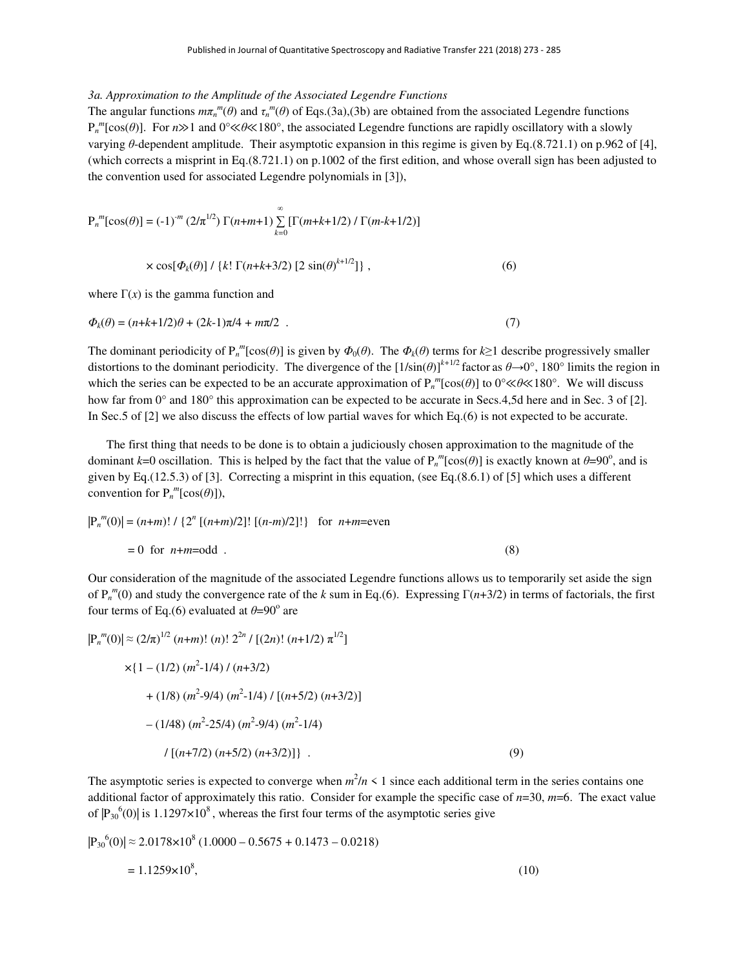# *3a. Approximation to the Amplitude of the Associated Legendre Functions*

The angular functions  $m\pi_n^{m}(\theta)$  and  $\tau_n^{m}(\theta)$  of Eqs.(3a),(3b) are obtained from the associated Legendre functions P*n m* [cos(*θ*)]. For *n*≫1 and 0°≪*θ*≪180°, the associated Legendre functions are rapidly oscillatory with a slowly varying *θ*-dependent amplitude. Their asymptotic expansion in this regime is given by Eq.(8.721.1) on p.962 of [4], (which corrects a misprint in Eq.(8.721.1) on p.1002 of the first edition, and whose overall sign has been adjusted to the convention used for associated Legendre polynomials in [3]),

$$
P_n^{\ m}[\cos(\theta)] = (-1)^m (2/\pi^{1/2}) \Gamma(n+m+1) \sum_{k=0}^{\infty} [\Gamma(m+k+1/2) / \Gamma(m-k+1/2)]
$$

$$
\times \cos[\Phi_k(\theta)] / \{k! \Gamma(n+k+3/2) [2 \sin(\theta)^{k+1/2}]\},\tag{6}
$$

where  $\Gamma(x)$  is the gamma function and

$$
\Phi_k(\theta) = (n+k+1/2)\theta + (2k-1)\pi/4 + m\pi/2 \quad . \tag{7}
$$

The dominant periodicity of  $P_n^m[\cos(\theta)]$  is given by  $\Phi_0(\theta)$ . The  $\Phi_k(\theta)$  terms for  $k \ge 1$  describe progressively smaller distortions to the dominant periodicity. The divergence of the  $[1/\sin(\theta)]^{k+1/2}$  factor as  $\theta \rightarrow 0^{\circ}$ , 180° limits the region in which the series can be expected to be an accurate approximation of  $P_n^m[\cos(\theta)]$  to 0°≪*θ*≪180°. We will discuss how far from 0° and 180° this approximation can be expected to be accurate in Secs.4,5d here and in Sec. 3 of [2]. In Sec.5 of [2] we also discuss the effects of low partial waves for which Eq.(6) is not expected to be accurate.

 The first thing that needs to be done is to obtain a judiciously chosen approximation to the magnitude of the dominant  $k=0$  oscillation. This is helped by the fact that the value of  $P_n^m[\cos(\theta)]$  is exactly known at  $\theta=90^\circ$ , and is given by Eq.(12.5.3) of [3]. Correcting a misprint in this equation, (see Eq.(8.6.1) of [5] which uses a different convention for  $P_n^m[\cos(\theta)]$ ),

$$
|P_n^m(0)| = (n+m)! / {2^n [(n+m)/2]! [(n-m)/2]!}
$$
 for  $n+m$ =even

Our consideration of the magnitude of the associated Legendre functions allows us to temporarily set aside the sign of P*<sup>n</sup> m* (0) and study the convergence rate of the *k* sum in Eq.(6). Expressing Γ(*n*+3/2) in terms of factorials, the first four terms of Eq.(6) evaluated at  $\theta = 90^\circ$  are

$$
|\mathbf{P}_n^m(0)| \approx (2/\pi)^{1/2} (n+m)!\ (n)!\ 2^{2n} / [(2n)!\ (n+1/2) \pi^{1/2}]
$$
  
×{1 – (1/2) (m<sup>2</sup>-1/4) / (n+3/2)  
+ (1/8) (m<sup>2</sup>-9/4) (m<sup>2</sup>-1/4) / [(n+5/2) (n+3/2)]  
– (1/48) (m<sup>2</sup>-25/4) (m<sup>2</sup>-9/4) (m<sup>2</sup>-1/4)  
/ [(n+7/2) (n+5/2) (n+3/2)]}. (9)

 $= 0$  for  $n+m=odd$ . (8)

The asymptotic series is expected to converge when  $m^2/n \leq 1$  since each additional term in the series contains one additional factor of approximately this ratio. Consider for example the specific case of *n*=30, *m*=6. The exact value of  $|P_{30}^{\,6}(0)|$  is 1.1297×10<sup>8</sup>, whereas the first four terms of the asymptotic series give

$$
|P_{30}^{6}(0)| \approx 2.0178 \times 10^{8} (1.0000 - 0.5675 + 0.1473 - 0.0218)
$$
  
= 1.1259×10<sup>8</sup>, (10)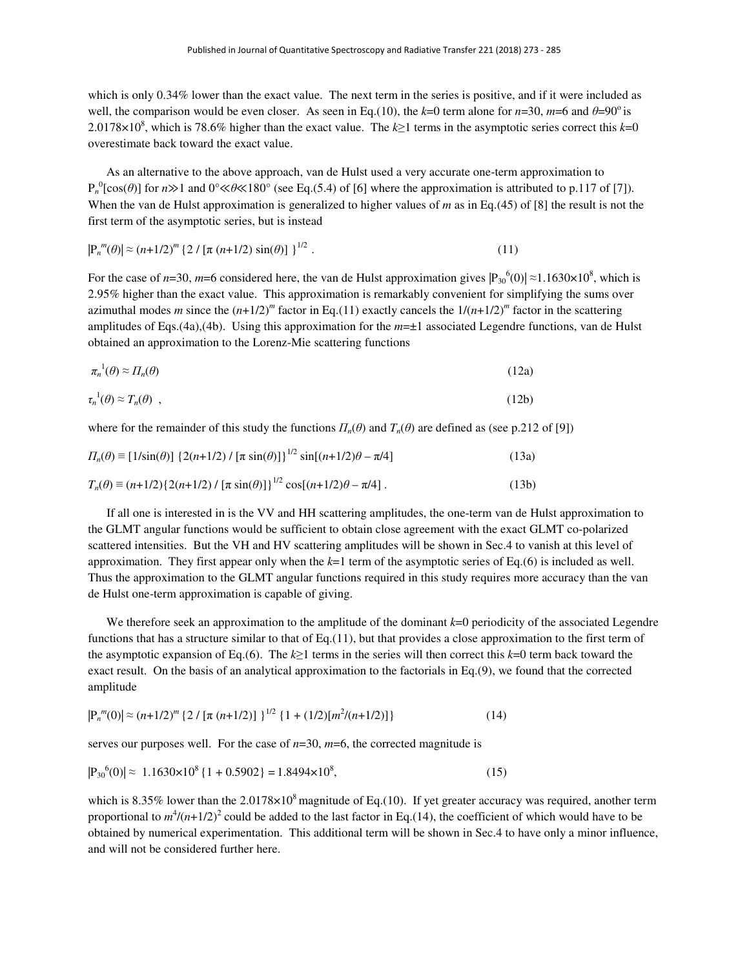which is only 0.34% lower than the exact value. The next term in the series is positive, and if it were included as well, the comparison would be even closer. As seen in Eq.(10), the  $k=0$  term alone for  $n=30$ ,  $m=6$  and  $\theta=90^\circ$  is 2.0178×10<sup>8</sup>, which is 78.6% higher than the exact value. The  $k \ge 1$  terms in the asymptotic series correct this  $k=0$ overestimate back toward the exact value.

 As an alternative to the above approach, van de Hulst used a very accurate one-term approximation to  $P_n^0$ [cos( $\theta$ )] for  $n \gg 1$  and  $0^\circ \ll \theta \ll 180^\circ$  (see Eq.(5.4) of [6] where the approximation is attributed to p.117 of [7]). When the van de Hulst approximation is generalized to higher values of *m* as in Eq.(45) of [8] the result is not the first term of the asymptotic series, but is instead

$$
|\mathbf{P}_n^m(\theta)| \approx (n+1/2)^m \left\{ 2 / \left[ \pi \left( n+1/2 \right) \sin(\theta) \right] \right\}^{1/2} . \tag{11}
$$

For the case of *n*=30, *m*=6 considered here, the van de Hulst approximation gives  $|P_{30}^{\ 6}(0)| \approx 1.1630 \times 10^8$ , which is 2.95% higher than the exact value. This approximation is remarkably convenient for simplifying the sums over azimuthal modes *m* since the  $(n+1/2)^m$  factor in Eq.(11) exactly cancels the  $1/(n+1/2)^m$  factor in the scattering amplitudes of Eqs.(4a),(4b). Using this approximation for the *m*=±1 associated Legendre functions, van de Hulst obtained an approximation to the Lorenz-Mie scattering functions

$$
\pi_n^{-1}(\theta) \approx \Pi_n(\theta) \tag{12a}
$$

$$
\tau_n^{-1}(\theta) \approx T_n(\theta) \tag{12b}
$$

where for the remainder of this study the functions  $\Pi_n(\theta)$  and  $T_n(\theta)$  are defined as (see p.212 of [9])

$$
\Pi_n(\theta) = [1/\sin(\theta)] \{2(n+1/2) / [\pi \sin(\theta)]\}^{1/2} \sin[(n+1/2)\theta - \pi/4]
$$
\n(13a)  
\n
$$
T_n(\theta) = (n+1/2) \{2(n+1/2) / [\pi \sin(\theta)]\}^{1/2} \cos[(n+1/2)\theta - \pi/4].
$$
\n(13b)

 If all one is interested in is the VV and HH scattering amplitudes, the one-term van de Hulst approximation to the GLMT angular functions would be sufficient to obtain close agreement with the exact GLMT co-polarized scattered intensities. But the VH and HV scattering amplitudes will be shown in Sec.4 to vanish at this level of approximation. They first appear only when the *k*=1 term of the asymptotic series of Eq.(6) is included as well. Thus the approximation to the GLMT angular functions required in this study requires more accuracy than the van de Hulst one-term approximation is capable of giving.

We therefore seek an approximation to the amplitude of the dominant  $k=0$  periodicity of the associated Legendre functions that has a structure similar to that of Eq.(11), but that provides a close approximation to the first term of the asymptotic expansion of Eq.(6). The *k*≥1 terms in the series will then correct this *k*=0 term back toward the exact result. On the basis of an analytical approximation to the factorials in Eq.(9), we found that the corrected amplitude

$$
|\mathbf{P}_n^m(0)| \approx (n+1/2)^m \left\{ 2 / \left[ \pi \left( n+1/2 \right) \right] \right\}^{1/2} \left\{ 1 + (1/2) \left[ m^2 / (n+1/2) \right] \right\} \tag{14}
$$

serves our purposes well. For the case of *n*=30, *m*=6, the corrected magnitude is

$$
|\mathbf{P}_{30}^{6}(0)| \approx 1.1630 \times 10^{8} \{1 + 0.5902\} = 1.8494 \times 10^{8},\tag{15}
$$

which is 8.35% lower than the  $2.0178\times10^8$  magnitude of Eq.(10). If yet greater accuracy was required, another term proportional to  $m^4/(n+1/2)^2$  could be added to the last factor in Eq.(14), the coefficient of which would have to be obtained by numerical experimentation. This additional term will be shown in Sec.4 to have only a minor influence, and will not be considered further here.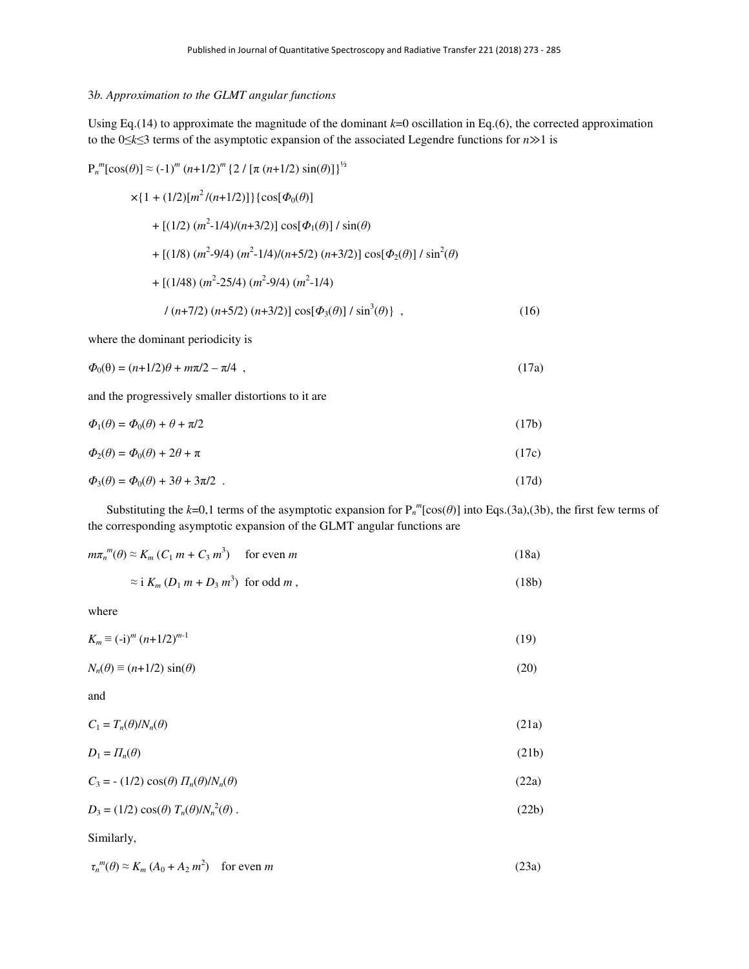# 3*b. Approximation to the GLMT angular functions*

Using Eq.(14) to approximate the magnitude of the dominant  $k=0$  oscillation in Eq.(6), the corrected approximation to the 0≤*k*≤3 terms of the asymptotic expansion of the associated Legendre functions for *n*≫1 is

$$
P_n^m[\cos(\theta)] \approx (-1)^m (n+1/2)^m \{2 / [\pi (n+1/2) \sin(\theta)]\}^{\frac{1}{2}}
$$
  
\n
$$
\times \{1 + (1/2)[m^2 / (n+1/2)]\} {\cos[\Phi_0(\theta)]}
$$
  
\n
$$
+ [(1/2) (m^2 - 1/4) / (n+3/2)] \cos[\Phi_1(\theta)] / \sin(\theta)
$$
  
\n
$$
+ [(1/8) (m^2 - 9/4) (m^2 - 1/4) / (n+5/2) (n+3/2)] \cos[\Phi_2(\theta)] / \sin^2(\theta)
$$
  
\n
$$
+ [(1/48) (m^2 - 25/4) (m^2 - 9/4) (m^2 - 1/4)
$$
  
\n
$$
/ (n+7/2) (n+5/2) (n+3/2)] \cos[\Phi_3(\theta)] / \sin^3(\theta) \},
$$
 (16)

where the dominant periodicity is

$$
\Phi_0(\theta) = (n+1/2)\theta + m\pi/2 - \pi/4 \quad , \tag{17a}
$$

and the progressively smaller distortions to it are

| $\Phi_1(\theta) = \Phi_0(\theta) + \theta + \pi/2$ | (17b) |
|----------------------------------------------------|-------|
| $\Phi_2(\theta) = \Phi_0(\theta) + 2\theta + \pi$  | (17c) |
|                                                    |       |

$$
\Phi_3(\theta) = \Phi_0(\theta) + 3\theta + 3\pi/2 \tag{17d}
$$

Substituting the  $k=0,1$  terms of the asymptotic expansion for  $P_n^m[\cos(\theta)]$  into Eqs.(3a),(3b), the first few terms of the corresponding asymptotic expansion of the GLMT angular functions are

$$
m\pi_n^{m}(\theta) \approx K_m (C_1 m + C_3 m^3) \quad \text{for even } m
$$
 (18a)

$$
\approx \mathrm{i} \, K_m \left( D_1 \, m + D_3 \, m^3 \right) \text{ for odd } m \,, \tag{18b}
$$

where

$$
K_m \equiv (-i)^m (n+1/2)^{m-1} \tag{19}
$$

 $N_n(\theta) \equiv (n+1/2) \sin(\theta)$  (20)

and

$$
C_1 = T_n(\theta) / N_n(\theta) \tag{21a}
$$

$$
D_1 = \Pi_n(\theta) \tag{21b}
$$

$$
C_3 = -(1/2)\cos(\theta) \Pi_n(\theta) / N_n(\theta) \tag{22a}
$$

$$
D_3 = (1/2)\cos(\theta) T_n(\theta) / N_n^2(\theta) \tag{22b}
$$

Similarly,

$$
\tau_n^m(\theta) \approx K_m \left( A_0 + A_2 m^2 \right) \quad \text{for even } m \tag{23a}
$$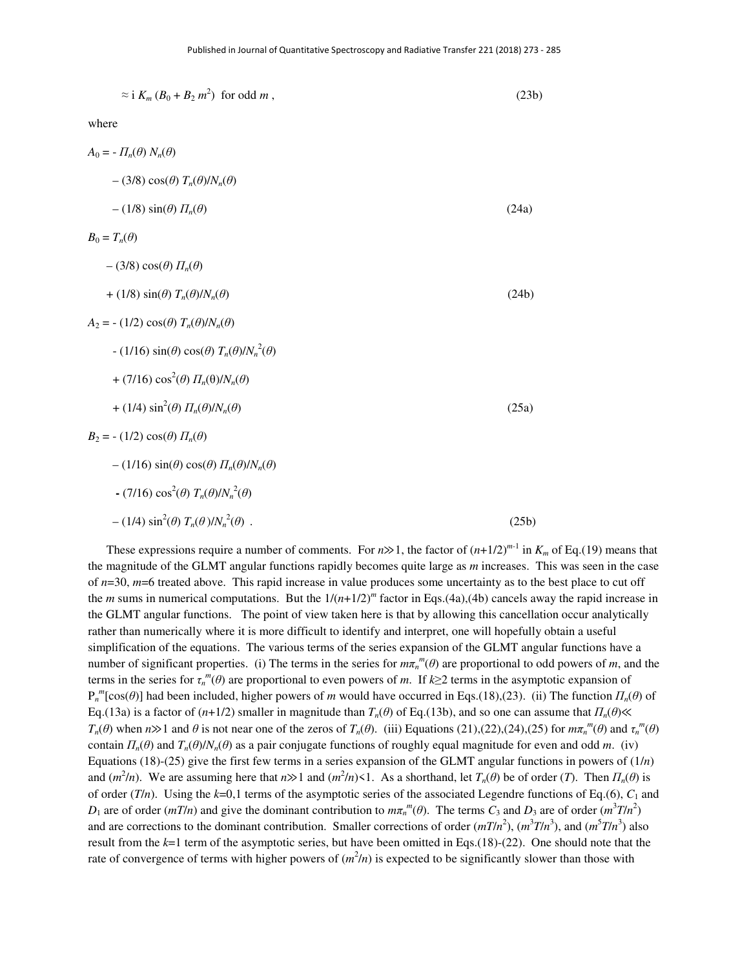| $\approx$ i $K_m (B_0 + B_2 m^2)$ for odd m,                     | (23b) |
|------------------------------------------------------------------|-------|
| where                                                            |       |
| $A_0 = -\prod_n(\theta) N_n(\theta)$                             |       |
| $-(3/8)\cos(\theta) T_n(\theta)/N_n(\theta)$                     |       |
| $-(1/8)\sin(\theta) \Pi_n(\theta)$                               | (24a) |
| $B_0 = T_n(\theta)$                                              |       |
| $-(3/8)\cos(\theta) \Pi_n(\theta)$                               |       |
| + (1/8) $\sin(\theta) T_n(\theta)/N_n(\theta)$                   | (24b) |
| $A_2 = - (1/2) \cos(\theta) T_n(\theta) / N_n(\theta)$           |       |
| $- (1/16) \sin(\theta) \cos(\theta) T_n(\theta) / N_n^2(\theta)$ |       |
| + (7/16) $\cos^2(\theta) \Pi_n(\theta)/N_n(\theta)$              |       |
| + (1/4) $\sin^2(\theta) \Pi_n(\theta)/N_n(\theta)$               | (25a) |
| $B_2 = - (1/2) \cos(\theta) \prod_n(\theta)$                     |       |
| $-(1/16) \sin(\theta) \cos(\theta) \Pi_n(\theta) / N_n(\theta)$  |       |
| $(7/16)\cos^2(\theta) T_n(\theta)/N_n^2(\theta)$                 |       |

 $-(1/4) \sin^2(\theta) T_n(\theta) / N_n^2$ 

These expressions require a number of comments. For  $n \gg 1$ , the factor of  $(n+1/2)^{m-1}$  in  $K_m$  of Eq.(19) means that the magnitude of the GLMT angular functions rapidly becomes quite large as *m* increases. This was seen in the case of *n*=30, *m*=6 treated above. This rapid increase in value produces some uncertainty as to the best place to cut off the *m* sums in numerical computations. But the  $1/(n+1/2)^m$  factor in Eqs.(4a),(4b) cancels away the rapid increase in the GLMT angular functions. The point of view taken here is that by allowing this cancellation occur analytically rather than numerically where it is more difficult to identify and interpret, one will hopefully obtain a useful simplification of the equations. The various terms of the series expansion of the GLMT angular functions have a number of significant properties. (i) The terms in the series for  $m\pi_n^m(\theta)$  are proportional to odd powers of *m*, and the terms in the series for  $\tau_n^m(\theta)$  are proportional to even powers of *m*. If  $k \geq 2$  terms in the asymptotic expansion of  $P_n^m$ [cos( $\theta$ )] had been included, higher powers of *m* would have occurred in Eqs.(18),(23). (ii) The function  $\Pi_n(\theta)$  of Eq.(13a) is a factor of (*n*+1/2) smaller in magnitude than *Tn*(*θ*) of Eq.(13b), and so one can assume that *Πn*(*θ*)≪  $T_n(\theta)$  when  $n \gg 1$  and  $\theta$  is not near one of the zeros of  $T_n(\theta)$ . (iii) Equations (21),(22),(24),(25) for  $m\pi_n^m(\theta)$  and  $\tau_n^m(\theta)$ contain  $\Pi_n(\theta)$  and  $T_n(\theta)/N_n(\theta)$  as a pair conjugate functions of roughly equal magnitude for even and odd *m*. (iv) Equations (18)-(25) give the first few terms in a series expansion of the GLMT angular functions in powers of (1/*n*) and  $(m^2/n)$ . We are assuming here that  $n \gg 1$  and  $(m^2/n) \le 1$ . As a shorthand, let  $T_n(\theta)$  be of order (*T*). Then  $\Pi_n(\theta)$  is of order ( $T/n$ ). Using the  $k=0,1$  terms of the asymptotic series of the associated Legendre functions of Eq.(6),  $C_1$  and *D*<sub>1</sub> are of order (*mT*/*n*) and give the dominant contribution to  $m\pi_n^m(\theta)$ . The terms *C*<sub>3</sub> and *D*<sub>3</sub> are of order ( $m^3T/n^2$ ) and are corrections to the dominant contribution. Smaller corrections of order  $(mT/n^2)$ ,  $(m^3T/n^3)$ , and  $(m^5T/n^3)$  also result from the *k*=1 term of the asymptotic series, but have been omitted in Eqs.(18)-(22). One should note that the rate of convergence of terms with higher powers of  $(m^2/n)$  is expected to be significantly slower than those with

 $(\theta)$ . (25b)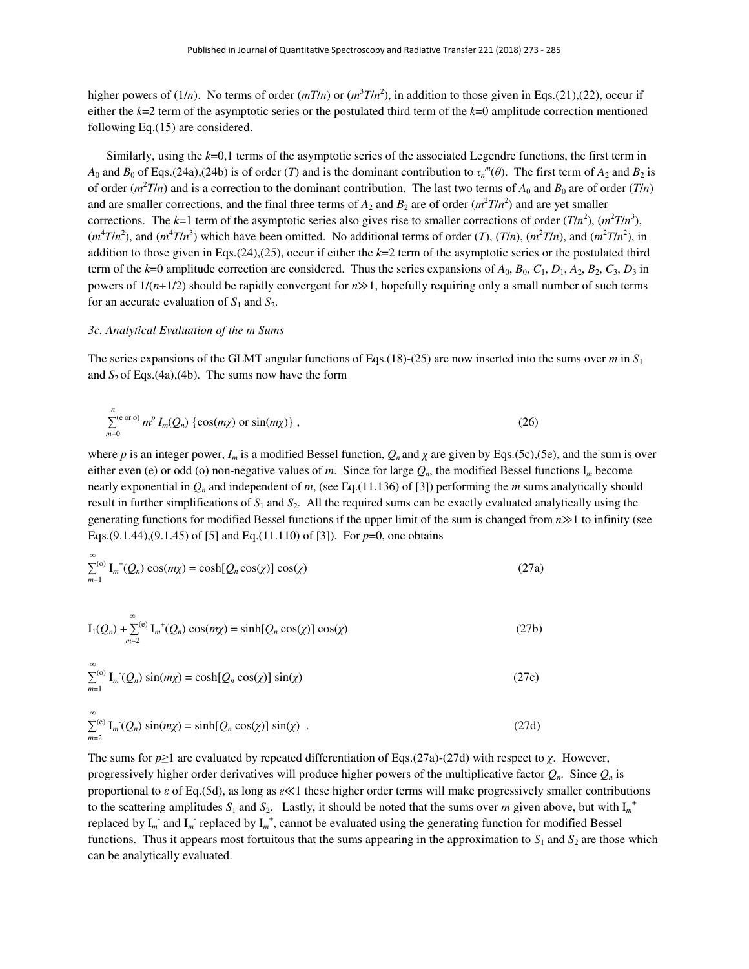higher powers of (1/*n*). No terms of order  $(mT/n)$  or  $(m^3T/n^2)$ , in addition to those given in Eqs.(21),(22), occur if either the *k*=2 term of the asymptotic series or the postulated third term of the *k*=0 amplitude correction mentioned following Eq.(15) are considered.

 Similarly, using the *k*=0,1 terms of the asymptotic series of the associated Legendre functions, the first term in *A*<sub>0</sub> and *B*<sub>0</sub> of Eqs.(24a),(24b) is of order (*T*) and is the dominant contribution to  $\tau_n^m(\theta)$ . The first term of  $A_2$  and  $B_2$  is of order  $(m^2T/n)$  and is a correction to the dominant contribution. The last two terms of  $A_0$  and  $B_0$  are of order  $(T/n)$ and are smaller corrections, and the final three terms of  $A_2$  and  $B_2$  are of order  $(m^2T/n^2)$  and are yet smaller corrections. The  $k=1$  term of the asymptotic series also gives rise to smaller corrections of order  $(T/n^2)$ ,  $(m^2T/n^3)$ ,  $(m^4T/n^2)$ , and  $(m^4T/n^3)$  which have been omitted. No additional terms of order  $(T)$ ,  $(T/n)$ ,  $(m^2T/n)$ , and  $(m^2T/n^2)$ , in addition to those given in Eqs.(24),(25), occur if either the *k*=2 term of the asymptotic series or the postulated third term of the  $k=0$  amplitude correction are considered. Thus the series expansions of  $A_0$ ,  $B_0$ ,  $C_1$ ,  $D_1$ ,  $A_2$ ,  $B_2$ ,  $C_3$ ,  $D_3$  in powers of 1/(*n*+1/2) should be rapidly convergent for *n*≫1, hopefully requiring only a small number of such terms for an accurate evaluation of  $S_1$  and  $S_2$ .

#### *3c. Analytical Evaluation of the m Sums*

The series expansions of the GLMT angular functions of Eqs.(18)-(25) are now inserted into the sums over *m* in  $S_1$ and  $S_2$  of Eqs.(4a),(4b). The sums now have the form

$$
\sum_{m=0}^{n} (e^{\alpha \sigma}) m^p I_m(Q_n) \left\{ \cos(m\chi) \text{ or } \sin(m\chi) \right\},\tag{26}
$$

where *p* is an integer power,  $I_m$  is a modified Bessel function,  $Q_n$  and  $\gamma$  are given by Eqs.(5c),(5e), and the sum is over either even (e) or odd (o) non-negative values of *m*. Since for large *Qn*, the modified Bessel functions I*m* become nearly exponential in  $Q_n$  and independent of *m*, (see Eq.(11.136) of [3]) performing the *m* sums analytically should result in further simplifications of  $S_1$  and  $S_2$ . All the required sums can be exactly evaluated analytically using the generating functions for modified Bessel functions if the upper limit of the sum is changed from *n*≫1 to infinity (see Eqs.(9.1.44),(9.1.45) of [5] and Eq.(11.110) of [3]). For *p*=0, one obtains

$$
\sum_{m=1}^{\infty} \mathcal{L}_{m}^{(0)} \mathcal{L}_{m}(\mathcal{Q}_{n}) \cos(m\chi) = \cosh[\mathcal{Q}_{n}\cos(\chi)] \cos(\chi) \tag{27a}
$$

$$
I_1(Q_n) + \sum_{m=2}^{\infty} I_m^+(Q_n) \cos(m\chi) = \sinh[Q_n \cos(\chi)] \cos(\chi)
$$
 (27b)

$$
\sum_{m=1}^{\infty} \ln \left( Q_n \right) \sin(m\chi) = \cosh \left[ Q_n \cos(\chi) \right] \sin(\chi) \tag{27c}
$$

$$
\sum_{m=2}^{\infty} \ln \left( Q_n \right) \sin(m\chi) = \sinh [Q_n \cos(\chi)] \sin(\chi) \quad . \tag{27d}
$$

The sums for *p*≥1 are evaluated by repeated differentiation of Eqs.(27a)-(27d) with respect to *χ*. However, progressively higher order derivatives will produce higher powers of the multiplicative factor  $Q_n$ . Since  $Q_n$  is proportional to *ε* of Eq.(5d), as long as *ε*≪1 these higher order terms will make progressively smaller contributions to the scattering amplitudes  $S_1$  and  $S_2$ . Lastly, it should be noted that the sums over *m* given above, but with  $I_m^+$ replaced by  $I_m^-$  and  $I_m^-$  replaced by  $I_m^+$ , cannot be evaluated using the generating function for modified Bessel functions. Thus it appears most fortuitous that the sums appearing in the approximation to  $S_1$  and  $S_2$  are those which can be analytically evaluated.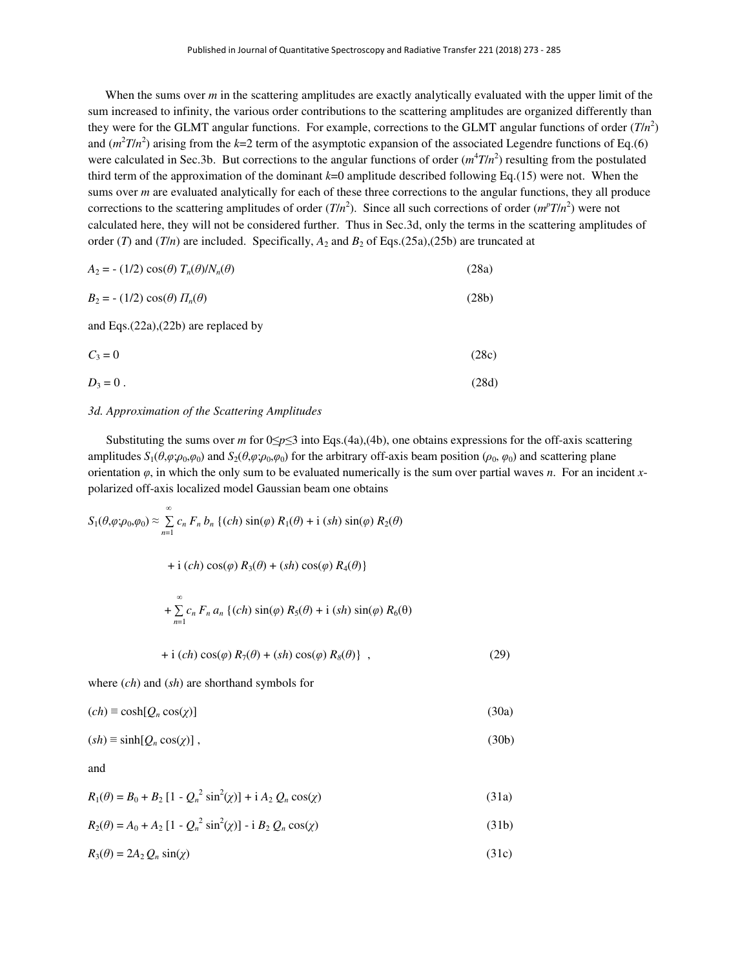When the sums over *m* in the scattering amplitudes are exactly analytically evaluated with the upper limit of the sum increased to infinity, the various order contributions to the scattering amplitudes are organized differently than they were for the GLMT angular functions. For example, corrections to the GLMT angular functions of order  $(T/n^2)$ and  $(m^2T/n^2)$  arising from the  $k=2$  term of the asymptotic expansion of the associated Legendre functions of Eq.(6) were calculated in Sec.3b. But corrections to the angular functions of order  $(m^4T/n^2)$  resulting from the postulated third term of the approximation of the dominant *k*=0 amplitude described following Eq.(15) were not. When the sums over *m* are evaluated analytically for each of these three corrections to the angular functions, they all produce corrections to the scattering amplitudes of order  $(T/n^2)$ . Since all such corrections of order  $(m^pT/n^2)$  were not calculated here, they will not be considered further. Thus in Sec.3d, only the terms in the scattering amplitudes of order (*T*) and (*T*/*n*) are included. Specifically,  $A_2$  and  $B_2$  of Eqs.(25a),(25b) are truncated at

| $A_2 = - (1/2) \cos(\theta) T_n(\theta) / N_n(\theta)$ | (28a) |
|--------------------------------------------------------|-------|
|--------------------------------------------------------|-------|

| $B_2 = - (1/2) \cos(\theta) \Pi_n(\theta)$ | (28b) |
|--------------------------------------------|-------|
|--------------------------------------------|-------|

and Eqs.(22a),(22b) are replaced by

$$
C_3 = 0 \tag{28c}
$$

$$
D_3 = 0. \tag{28d}
$$

# *3d. Approximation of the Scattering Amplitudes*

Substituting the sums over *m* for  $0 \le p \le 3$  into Eqs.(4a),(4b), one obtains expressions for the off-axis scattering amplitudes  $S_1(\theta, \varphi; \rho_0, \varphi_0)$  and  $S_2(\theta, \varphi; \rho_0, \varphi_0)$  for the arbitrary off-axis beam position ( $\rho_0$ ,  $\varphi_0$ ) and scattering plane orientation  $\varphi$ , in which the only sum to be evaluated numerically is the sum over partial waves *n*. For an incident *x*polarized off-axis localized model Gaussian beam one obtains

$$
S_1(\theta, \varphi; \rho_0, \varphi_0) \approx \sum_{n=1}^{\infty} c_n F_n b_n \left\{ (ch) \sin(\varphi) R_1(\theta) + i (sh) \sin(\varphi) R_2(\theta) \right.
$$
  
+ i  $(ch) \cos(\varphi) R_3(\theta) + (sh) \cos(\varphi) R_4(\theta)$ }  
+  $\sum_{n=1}^{\infty} c_n F_n a_n \left\{ (ch) \sin(\varphi) R_5(\theta) + i (sh) \sin(\varphi) R_6(\theta) \right\}$ 

$$
+ i (ch) cos(\varphi) R_7(\theta) + (sh) cos(\varphi) R_8(\theta) \}, \qquad (29)
$$

where (*ch*) and (*sh*) are shorthand symbols for

$$
(ch) \equiv \cosh[Q_n \cos(\chi)] \tag{30a}
$$

$$
(sh) \equiv \sinh[Q_n \cos(\chi)] \tag{30b}
$$

$$
R_1(\theta) = B_0 + B_2 [1 - Q_n^2 \sin^2(\chi)] + i A_2 Q_n \cos(\chi)
$$
 (31a)

$$
R_2(\theta) = A_0 + A_2 [1 - Q_n^2 \sin^2(\chi)] - i B_2 Q_n \cos(\chi)
$$
 (31b)

$$
R_3(\theta) = 2A_2 Q_n \sin(\chi) \tag{31c}
$$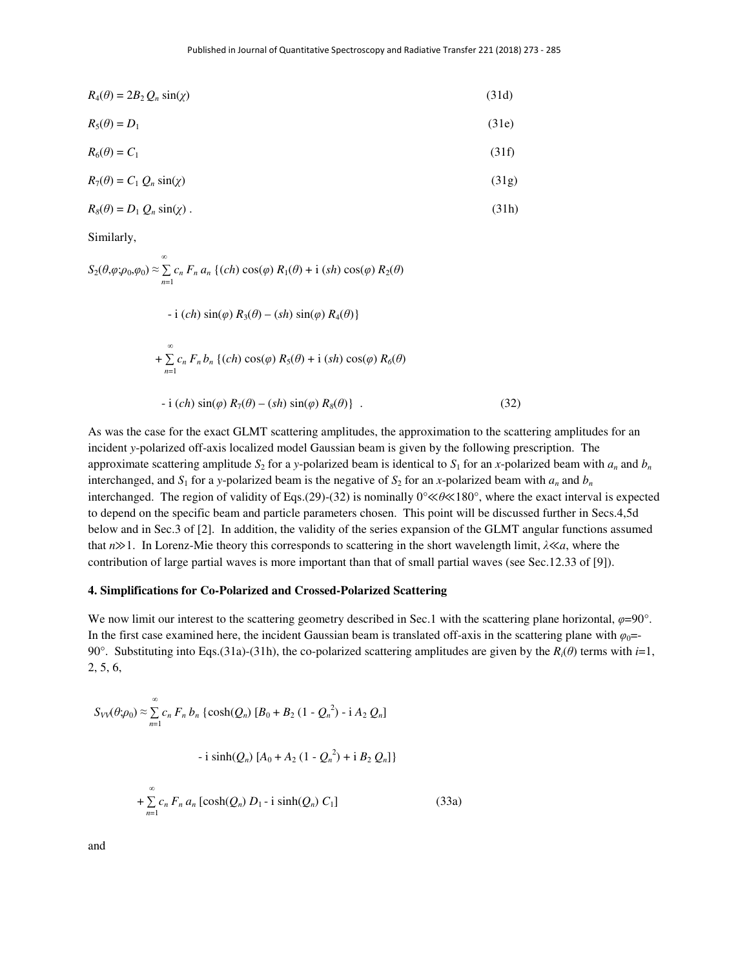$$
R_4(\theta) = 2B_2 Q_n \sin(\chi) \tag{31d}
$$

$$
R_5(\theta) = D_1 \tag{31e}
$$

$$
R_6(\theta) = C_1 \tag{31f}
$$

$$
R_7(\theta) = C_1 Q_n \sin(\chi) \tag{31g}
$$

$$
R_8(\theta) = D_1 Q_n \sin(\chi) \tag{31h}
$$

Similarly,

$$
S_2(\theta, \varphi; \rho_0, \varphi_0) \approx \sum_{n=1}^{\infty} c_n F_n a_n \left\{ (ch) \cos(\varphi) R_1(\theta) + i (sh) \cos(\varphi) R_2(\theta) \right\}
$$

$$
-i (ch) \sin(\varphi) R_3(\theta) - (sh) \sin(\varphi) R_4(\theta)
$$
  
+ 
$$
\sum_{n=1}^{\infty} c_n F_n b_n \{ (ch) \cos(\varphi) R_5(\theta) + i (sh) \cos(\varphi) R_6(\theta)
$$
  
- 
$$
-i (ch) \sin(\varphi) R_7(\theta) - (sh) \sin(\varphi) R_8(\theta) \} .
$$
 (32)

As was the case for the exact GLMT scattering amplitudes, the approximation to the scattering amplitudes for an incident *y*-polarized off-axis localized model Gaussian beam is given by the following prescription. The approximate scattering amplitude  $S_2$  for a *y*-polarized beam is identical to  $S_1$  for an *x*-polarized beam with  $a_n$  and  $b_n$ interchanged, and  $S_1$  for a *y*-polarized beam is the negative of  $S_2$  for an *x*-polarized beam with  $a_n$  and  $b_n$ interchanged. The region of validity of Eqs.(29)-(32) is nominally 0°≪*θ*≪180°, where the exact interval is expected to depend on the specific beam and particle parameters chosen. This point will be discussed further in Secs.4,5d below and in Sec.3 of [2]. In addition, the validity of the series expansion of the GLMT angular functions assumed that *n*≫1. In Lorenz-Mie theory this corresponds to scattering in the short wavelength limit, *λ*≪*a*, where the contribution of large partial waves is more important than that of small partial waves (see Sec.12.33 of [9]).

#### **4. Simplifications for Co-Polarized and Crossed-Polarized Scattering**

We now limit our interest to the scattering geometry described in Sec.1 with the scattering plane horizontal,  $\varphi = 90^\circ$ . In the first case examined here, the incident Gaussian beam is translated off-axis in the scattering plane with  $\varphi_0$ = 90°. Substituting into Eqs.(31a)-(31h), the co-polarized scattering amplitudes are given by the  $R_i(\theta)$  terms with *i*=1, 2, 5, 6,

$$
S_{VV}(\theta;\rho_0) \approx \sum_{n=1}^{\infty} c_n F_n b_n \{ \cosh(Q_n) [B_0 + B_2 (1 - Q_n^2) - i A_2 Q_n ]
$$

$$
- i \sinh(Q_n) [A_0 + A_2 (1 - Q_n^2) + i B_2 Q_n ] \}
$$

$$
+ \sum_{n=1}^{\infty} c_n F_n a_n [\cosh(Q_n) D_1 - i \sinh(Q_n) C_1]
$$
(33a)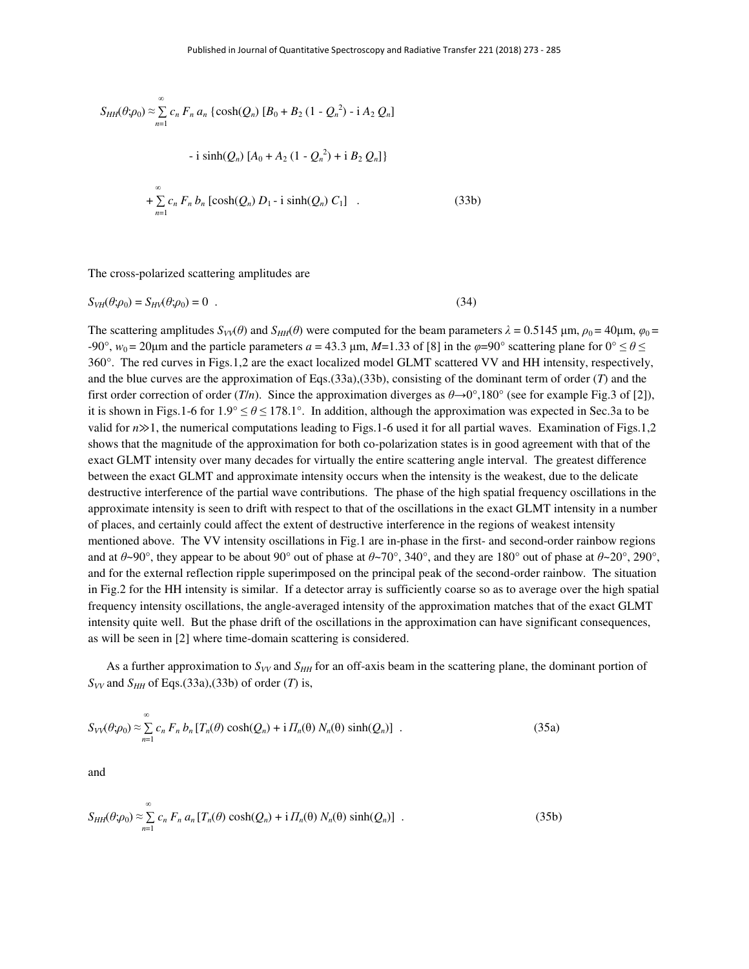$$
S_{HH}(\theta;\rho_0) \approx \sum_{n=1}^{\infty} c_n F_n a_n \{ \cosh(Q_n) [B_0 + B_2 (1 - Q_n^2) - i A_2 Q_n] \}
$$
  
- i sinh( $Q_n$ )  $[A_0 + A_2 (1 - Q_n^2) + i B_2 Q_n] \}$   
+  $\sum_{n=1}^{\infty} c_n F_n b_n [\cosh(Q_n) D_1 - i \sinh(Q_n) C_1]$  (33b)

The cross-polarized scattering amplitudes are

$$
S_{VH}(\theta; \rho_0) = S_{HV}(\theta; \rho_0) = 0 \tag{34}
$$

The scattering amplitudes  $S_{VV}(\theta)$  and  $S_{HH}(\theta)$  were computed for the beam parameters  $\lambda = 0.5145$  µm,  $\rho_0 = 40$ µm,  $\varphi_0 =$  $-90^\circ$ ,  $w_0 = 20 \mu$ m and the particle parameters *a* = 43.3 μm, *M*=1.33 of [8] in the *φ*=90° scattering plane for  $0^\circ \le \theta \le$ 360°. The red curves in Figs.1,2 are the exact localized model GLMT scattered VV and HH intensity, respectively, and the blue curves are the approximation of Eqs.(33a),(33b), consisting of the dominant term of order (*T*) and the first order correction of order (*T/n*). Since the approximation diverges as  $\theta \rightarrow 0^{\circ}$ ,180° (see for example Fig.3 of [2]), it is shown in Figs.1-6 for  $1.9^{\circ} \le \theta \le 178.1^{\circ}$ . In addition, although the approximation was expected in Sec.3a to be valid for *n*≫1, the numerical computations leading to Figs.1-6 used it for all partial waves. Examination of Figs.1,2 shows that the magnitude of the approximation for both co-polarization states is in good agreement with that of the exact GLMT intensity over many decades for virtually the entire scattering angle interval. The greatest difference between the exact GLMT and approximate intensity occurs when the intensity is the weakest, due to the delicate destructive interference of the partial wave contributions. The phase of the high spatial frequency oscillations in the approximate intensity is seen to drift with respect to that of the oscillations in the exact GLMT intensity in a number of places, and certainly could affect the extent of destructive interference in the regions of weakest intensity mentioned above. The VV intensity oscillations in Fig.1 are in-phase in the first- and second-order rainbow regions and at  $\theta \sim 90^\circ$ , they appear to be about  $90^\circ$  out of phase at  $\theta \sim 70^\circ$ , 340°, and they are 180° out of phase at  $\theta \sim 20^\circ$ , 290°, and for the external reflection ripple superimposed on the principal peak of the second-order rainbow. The situation in Fig.2 for the HH intensity is similar. If a detector array is sufficiently coarse so as to average over the high spatial frequency intensity oscillations, the angle-averaged intensity of the approximation matches that of the exact GLMT intensity quite well. But the phase drift of the oscillations in the approximation can have significant consequences, as will be seen in [2] where time-domain scattering is considered.

As a further approximation to  $S_{VV}$  and  $S_{HH}$  for an off-axis beam in the scattering plane, the dominant portion of  $S_{VV}$  and  $S_{HH}$  of Eqs.(33a),(33b) of order (*T*) is,

$$
S_{VV}(\theta;\rho_0) \approx \sum_{n=1}^{\infty} c_n F_n b_n [T_n(\theta) \cosh(Q_n) + i H_n(\theta) N_n(\theta) \sinh(Q_n)] \quad . \tag{35a}
$$

$$
S_{HH}(\theta; \rho_0) \approx \sum_{n=1}^{\infty} c_n F_n a_n [T_n(\theta) \cosh(Q_n) + i \Pi_n(\theta) N_n(\theta) \sinh(Q_n)] \tag{35b}
$$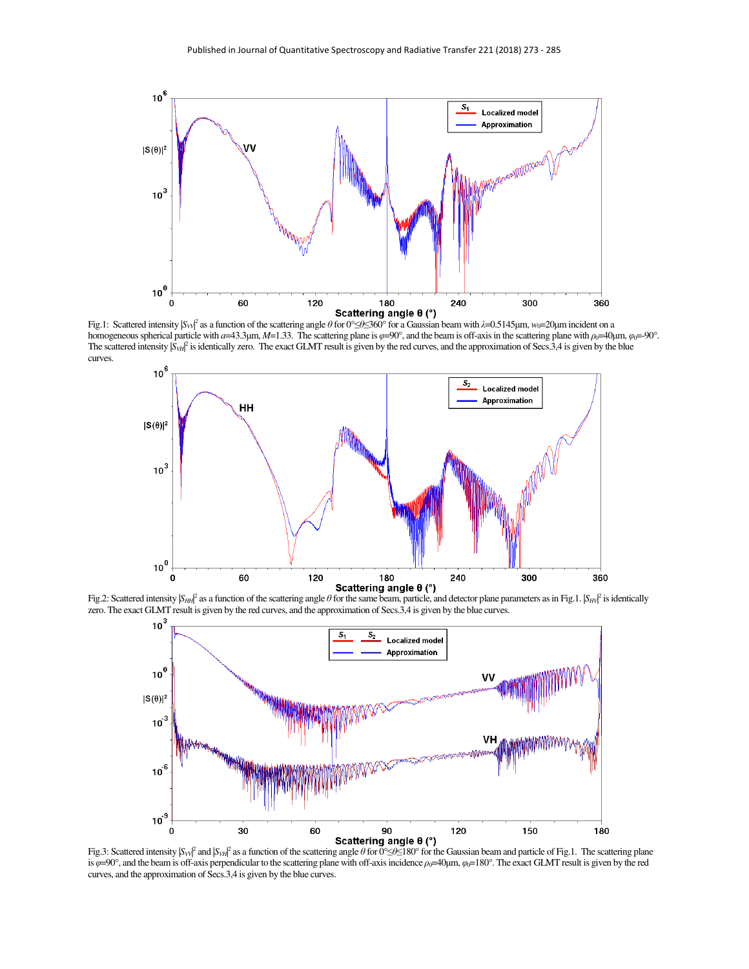

Fig.1: Scattered intensity |S<sub>*V*I<sup>*Q*</sup></sup> as a function of the scattering angle θ for 0°≤*θ*≤360° for a Gaussian beam with *λ*=0.5145μm, *w*<sub>0</sub>=20μm incident on a</sub> homogeneous spherical particle with *a*=43.3μm, *M*=1.33. The scattering plane is *φ*=90°, and the beam is off-axis in the scattering plane with *ρ*<sub>0</sub>=40μm, *φ*<sub>0</sub>=-90°. The scattered intensity  $|S_{VH}|^2$  is identically zero. The exact GLMT result is given by the red curves, and the approximation of Secs.3,4 is given by the blue curves.



Fig.2: Scattered intensity  $|S_{HH}|^2$  as a function of the scattering angle  $\theta$  for the same beam, particle, and detector plane parameters as in Fig.1.  $|S_{HH}|^2$  is identically zero. The exact GLMT result is given by the red curves, and the approximation of Secs.3,4 is given by the blue curves.



Fig.3: Scattered intensity |*S*<sub>*V*V</sub><sup>2</sup> and |*S*<sub>*VH*</sub><sup>2</sup> as a function of the scattering angle *θ* for 0°≤*β*≤180° for the Gaussian beam and particle of Fig.1. The scattering plane is  $\varphi$ =90°, and the beam is off-axis perpendicular to the scattering plane with off-axis incidence  $\rho_0$ =40μm,  $\varphi_0$ =180°. The exact GLMT result is given by the red curves, and the approximation of Secs.3,4 is given by the blue curves.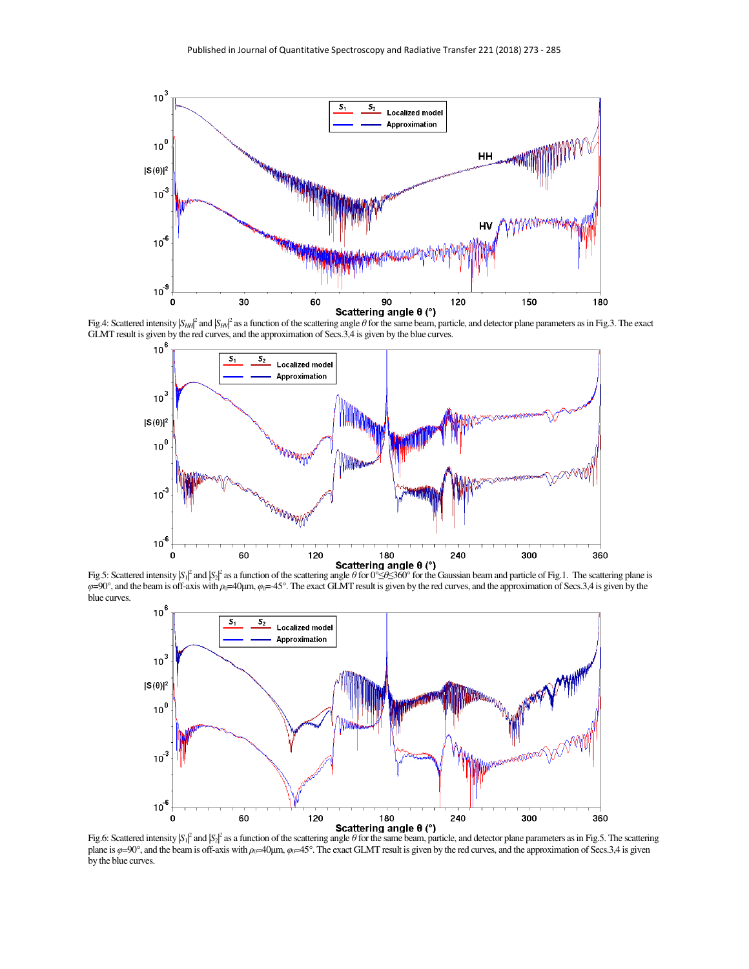

Fig.4: Scattered intensity  $|S_{HH}|^2$  and  $|S_{HV}|^2$  as a function of the scattering angle  $\theta$  for the same beam, particle, and detector plane parameters as in Fig.3. The exact GLMT result is given by the red curves, and the approximation of Secs.3,4 is given by the blue curves.



Fig.5: Scattered intensity  $|S_1|^2$  and  $|S_2|^2$  as a function of the scattering angle  $\theta$  for  $0^\circ \leq \theta \leq 360^\circ$  for the Gaussian beam and particle of Fig.1. The scattering plane is *φ*=90°, and the beam is off-axis with *ρ*<sub>0</sub>=40μm, *φ*<sub>0</sub>=-45°. The exact GLMT result is given by the red curves, and the approximation of Secs.3,4 is given by the blue curves.



Fig.6: Scattered intensity  $\beta_1|^2$  and  $\beta_2|^2$  as a function of the scattering angle *θ* for the same beam, particle, and detector plane parameters as in Fig.5. The scattering plane is  $\varphi$ =90°, and the beam is off-axis with  $\rho_0$ =40μm,  $\varphi_0$ =45°. The exact GLMT result is given by the red curves, and the approximation of Secs.3,4 is given by the blue curves.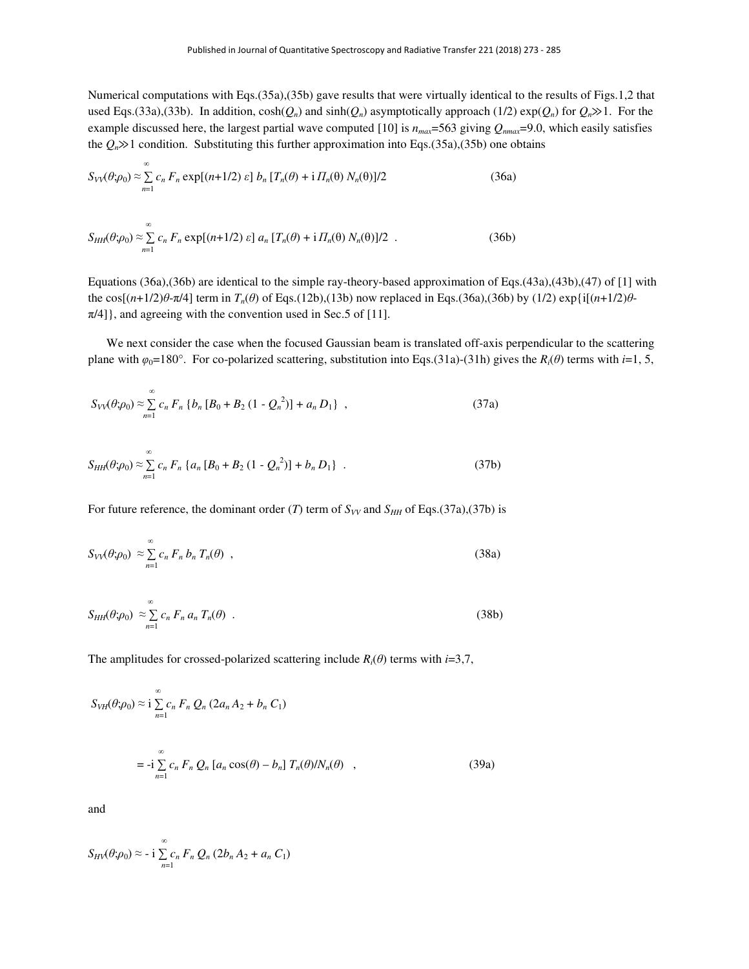Numerical computations with Eqs.(35a),(35b) gave results that were virtually identical to the results of Figs.1,2 that used Eqs.(33a),(33b). In addition,  $cosh(Q_n)$  and  $sinh(Q_n)$  asymptotically approach (1/2)  $exp(Q_n)$  for  $Q_n \gg 1$ . For the example discussed here, the largest partial wave computed [10] is  $n_{max}$ =563 giving  $Q_{nmax}$ =9.0, which easily satisfies the  $Q_n$  is 1 condition. Substituting this further approximation into Eqs.(35a),(35b) one obtains

$$
S_{VV}(\theta;\rho_0) \approx \sum_{n=1}^{\infty} c_n F_n \exp[(n+1/2) \varepsilon] b_n [T_n(\theta) + i H_n(\theta) N_n(\theta)]/2
$$
 (36a)

$$
S_{HH}(\theta;\rho_0) \approx \sum_{n=1}^{\infty} c_n F_n \exp[(n+1/2) \varepsilon] a_n [T_n(\theta) + i H_n(\theta) N_n(\theta)]/2
$$
 (36b)

Equations (36a),(36b) are identical to the simple ray-theory-based approximation of Eqs.(43a),(43b),(47) of [1] with the cos[(*n*+1/2) $θ$ -π/4] term in  $T_n(θ)$  of Eqs.(12b),(13b) now replaced in Eqs.(36a),(36b) by (1/2) exp{i[(*n*+1/2) $θ$ - $\pi/4$ ], and agreeing with the convention used in Sec.5 of [11].

 We next consider the case when the focused Gaussian beam is translated off-axis perpendicular to the scattering plane with  $\varphi_0 = 180^\circ$ . For co-polarized scattering, substitution into Eqs.(31a)-(31h) gives the *R<sub>i</sub>*( $\theta$ ) terms with *i*=1, 5,

$$
S_{VV}(\theta;\rho_0) \approx \sum_{n=1}^{\infty} c_n F_n \{b_n [B_0 + B_2 (1 - Q_n^2)] + a_n D_1\}, \qquad (37a)
$$

$$
S_{HH}(\theta; \rho_0) \approx \sum_{n=1}^{\infty} c_n F_n \left\{ a_n \left[ B_0 + B_2 \left( 1 - Q_n^2 \right) \right] + b_n D_1 \right\} \ . \tag{37b}
$$

For future reference, the dominant order (*T*) term of  $S_{VV}$  and  $S_{HH}$  of Eqs.(37a),(37b) is

$$
S_{VV}(\theta;\rho_0) \approx \sum_{n=1}^{\infty} c_n F_n b_n T_n(\theta) , \qquad (38a)
$$

$$
S_{HH}(\theta; \rho_0) \approx \sum_{n=1}^{\infty} c_n F_n a_n T_n(\theta) \quad . \tag{38b}
$$

The amplitudes for crossed-polarized scattering include  $R_i(\theta)$  terms with *i*=3,7,

$$
S_{VH}(\theta; \rho_0) \approx \mathbf{i} \sum_{n=1}^{\infty} c_n F_n Q_n (2a_n A_2 + b_n C_1)
$$
  
= 
$$
- \mathbf{i} \sum_{n=1}^{\infty} c_n F_n Q_n [a_n \cos(\theta) - b_n] T_n(\theta) / N_n(\theta) ,
$$
 (39a)

$$
S_{HV}(\theta;\rho_0) \approx -\mathrm{i} \sum_{n=1}^{\infty} c_n F_n Q_n (2b_n A_2 + a_n C_1)
$$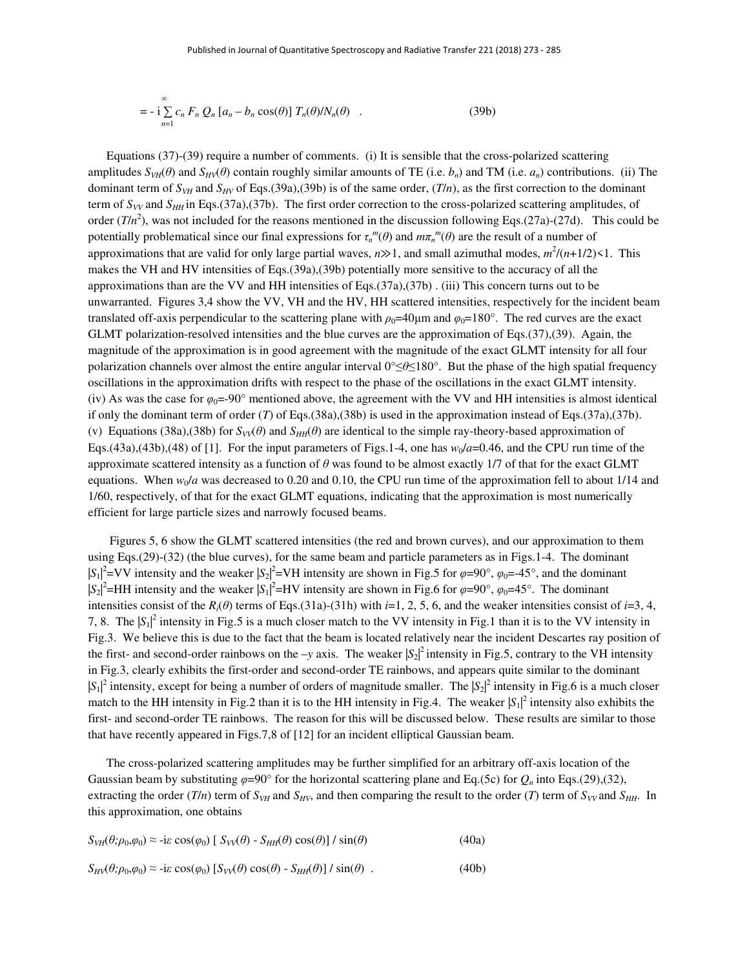$$
= -\mathbf{i}\sum_{n=1}^{\infty} c_n F_n Q_n [a_n - b_n \cos(\theta)] T_n(\theta) / N_n(\theta) \quad . \tag{39b}
$$

 Equations (37)-(39) require a number of comments. (i) It is sensible that the cross-polarized scattering amplitudes  $S_{VH}(\theta)$  and  $S_{HV}(\theta)$  contain roughly similar amounts of TE (i.e. *b<sub>n</sub>*) and TM (i.e. *a<sub>n</sub>*) contributions. (ii) The dominant term of  $S_{VH}$  and  $S_{HV}$  of Eqs.(39a),(39b) is of the same order,  $(T/n)$ , as the first correction to the dominant term of  $S_{VV}$  and  $S_{HH}$  in Eqs.(37a),(37b). The first order correction to the cross-polarized scattering amplitudes, of order  $(T/n^2)$ , was not included for the reasons mentioned in the discussion following Eqs.(27a)-(27d). This could be potentially problematical since our final expressions for  $\tau_n^m(\theta)$  and  $m\pi_n^m(\theta)$  are the result of a number of approximations that are valid for only large partial waves,  $n \gg 1$ , and small azimuthal modes,  $m^2/(n+1/2) \le 1$ . This makes the VH and HV intensities of Eqs.(39a),(39b) potentially more sensitive to the accuracy of all the approximations than are the VV and HH intensities of Eqs.(37a),(37b) . (iii) This concern turns out to be unwarranted. Figures 3,4 show the VV, VH and the HV, HH scattered intensities, respectively for the incident beam translated off-axis perpendicular to the scattering plane with  $\rho_0=40\mu$ m and  $\varphi_0=180^\circ$ . The red curves are the exact GLMT polarization-resolved intensities and the blue curves are the approximation of Eqs.(37),(39). Again, the magnitude of the approximation is in good agreement with the magnitude of the exact GLMT intensity for all four polarization channels over almost the entire angular interval 0°≤*θ*≤180°. But the phase of the high spatial frequency oscillations in the approximation drifts with respect to the phase of the oscillations in the exact GLMT intensity. (iv) As was the case for  $\varphi_0 = -90^\circ$  mentioned above, the agreement with the VV and HH intensities is almost identical if only the dominant term of order (*T*) of Eqs.(38a),(38b) is used in the approximation instead of Eqs.(37a),(37b). (v) Equations (38a),(38b) for  $S_V(\theta)$  and  $S_H(\theta)$  are identical to the simple ray-theory-based approximation of Eqs.(43a),(43b),(48) of [1]. For the input parameters of Figs.1-4, one has  $w_0/a=0.46$ , and the CPU run time of the approximate scattered intensity as a function of *θ* was found to be almost exactly 1/7 of that for the exact GLMT equations. When  $w_0/a$  was decreased to 0.20 and 0.10, the CPU run time of the approximation fell to about 1/14 and 1/60, respectively, of that for the exact GLMT equations, indicating that the approximation is most numerically efficient for large particle sizes and narrowly focused beams.

 Figures 5, 6 show the GLMT scattered intensities (the red and brown curves), and our approximation to them using Eqs.(29)-(32) (the blue curves), for the same beam and particle parameters as in Figs.1-4. The dominant  $|S_1|^2$ =VV intensity and the weaker  $|S_2|^2$ =VH intensity are shown in Fig.5 for  $\varphi$ =90°,  $\varphi_0$ =-45°, and the dominant  $|S_2|^2$ =HH intensity and the weaker  $|S_1|^2$ =HV intensity are shown in Fig.6 for  $\varphi$ =90°,  $\varphi_0$ =45°. The dominant intensities consist of the  $R_i(\theta)$  terms of Eqs.(31a)-(31h) with *i*=1, 2, 5, 6, and the weaker intensities consist of *i*=3, 4, 7, 8. The  $|S_1|^2$  intensity in Fig.5 is a much closer match to the VV intensity in Fig.1 than it is to the VV intensity in Fig.3. We believe this is due to the fact that the beam is located relatively near the incident Descartes ray position of the first- and second-order rainbows on the  $-y$  axis. The weaker  $|S_2|^2$  intensity in Fig.5, contrary to the VH intensity in Fig.3, clearly exhibits the first-order and second-order TE rainbows, and appears quite similar to the dominant  $|S_1|^2$  intensity, except for being a number of orders of magnitude smaller. The  $|S_2|^2$  intensity in Fig.6 is a much closer match to the HH intensity in Fig.2 than it is to the HH intensity in Fig.4. The weaker  $|S_1|^2$  intensity also exhibits the first- and second-order TE rainbows. The reason for this will be discussed below. These results are similar to those that have recently appeared in Figs.7,8 of [12] for an incident elliptical Gaussian beam.

 The cross-polarized scattering amplitudes may be further simplified for an arbitrary off-axis location of the Gaussian beam by substituting  $\varphi=90^\circ$  for the horizontal scattering plane and Eq.(5c) for  $Q_n$  into Eqs.(29),(32), extracting the order (*T*/*n*) term of  $S_{VH}$  and  $S_{HV}$ , and then comparing the result to the order (*T*) term of  $S_{VV}$  and  $S_{HH}$ . In this approximation, one obtains

$$
S_{VH}(\theta; \rho_0, \varphi_0) \approx -i\varepsilon \cos(\varphi_0) \left[ S_{VV}(\theta) - S_{HH}(\theta) \cos(\theta) \right] / \sin(\theta)
$$
(40a)  

$$
S_{HV}(\theta; \rho_0, \varphi_0) \approx -i\varepsilon \cos(\varphi_0) \left[ S_{VV}(\theta) \cos(\theta) - S_{HH}(\theta) \right] / \sin(\theta)
$$
(40b)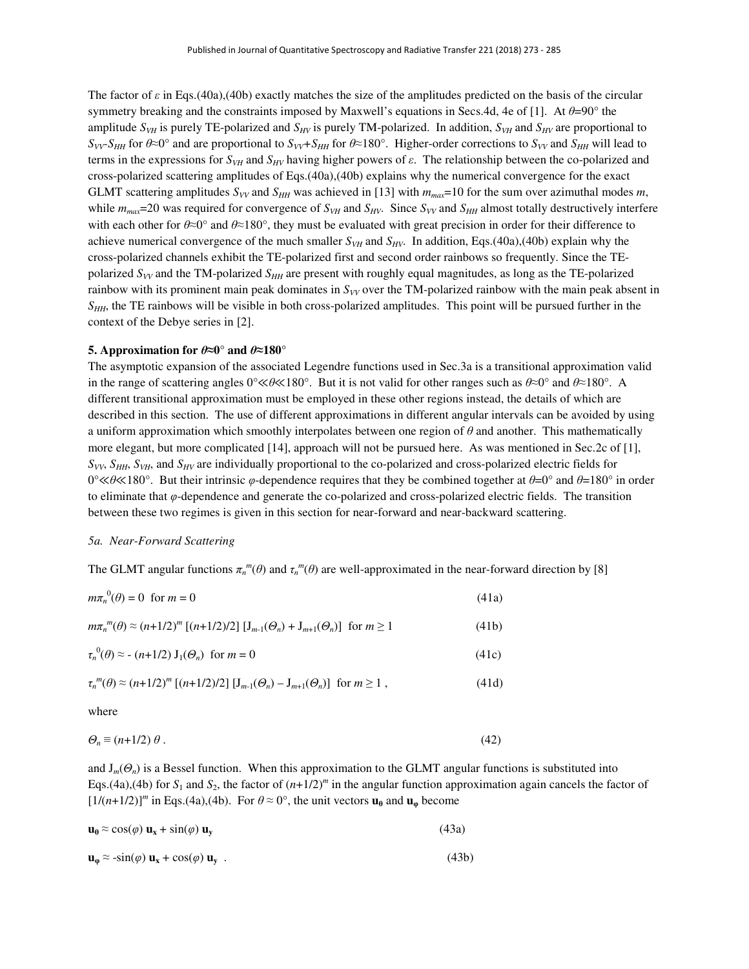The factor of *ε* in Eqs.(40a),(40b) exactly matches the size of the amplitudes predicted on the basis of the circular symmetry breaking and the constraints imposed by Maxwell's equations in Secs.4d, 4e of [1]. At *θ*=90° the amplitude  $S_{VH}$  is purely TE-polarized and  $S_{HV}$  is purely TM-polarized. In addition,  $S_{VH}$  and  $S_{HV}$  are proportional to  $S_{VV}$ *S<sub>HH</sub>* for  $\theta \approx 0^\circ$  and are proportional to  $S_{VV}$ *+S<sub>HH</sub>* for  $\theta \approx 180^\circ$ . Higher-order corrections to  $S_{VV}$  and  $S_{HH}$  will lead to terms in the expressions for  $S_{VH}$  and  $S_{HV}$  having higher powers of *ε*. The relationship between the co-polarized and cross-polarized scattering amplitudes of Eqs.(40a),(40b) explains why the numerical convergence for the exact GLMT scattering amplitudes  $S_{VV}$  and  $S_{HH}$  was achieved in [13] with  $m_{max}=10$  for the sum over azimuthal modes *m*, while  $m_{max}$ =20 was required for convergence of  $S_{VH}$  and  $S_{HV}$ . Since  $S_{VV}$  and  $S_{HH}$  almost totally destructively interfere with each other for  $\theta \approx 0^\circ$  and  $\theta \approx 180^\circ$ , they must be evaluated with great precision in order for their difference to achieve numerical convergence of the much smaller  $S_{VH}$  and  $S_{HV}$ . In addition, Eqs.(40a),(40b) explain why the cross-polarized channels exhibit the TE-polarized first and second order rainbows so frequently. Since the TEpolarized  $S_{VV}$  and the TM-polarized  $S_{HH}$  are present with roughly equal magnitudes, as long as the TE-polarized rainbow with its prominent main peak dominates in  $S_{VV}$  over the TM-polarized rainbow with the main peak absent in *SHH*, the TE rainbows will be visible in both cross-polarized amplitudes. This point will be pursued further in the context of the Debye series in [2].

#### **5.** Approximation for  $\theta \approx 0^\circ$  and  $\theta \approx 180^\circ$

The asymptotic expansion of the associated Legendre functions used in Sec.3a is a transitional approximation valid in the range of scattering angles 0°≪*θ*≪180°. But it is not valid for other ranges such as *θ*≈0° and *θ*≈180°. A different transitional approximation must be employed in these other regions instead, the details of which are described in this section. The use of different approximations in different angular intervals can be avoided by using a uniform approximation which smoothly interpolates between one region of *θ* and another. This mathematically more elegant, but more complicated [14], approach will not be pursued here. As was mentioned in Sec.2c of [1], *SVV*, *SHH*, *SVH*, and *SHV* are individually proportional to the co-polarized and cross-polarized electric fields for 0°≪*θ*≪180°. But their intrinsic *φ*-dependence requires that they be combined together at *θ*=0° and *θ*=180° in order to eliminate that *φ*-dependence and generate the co-polarized and cross-polarized electric fields. The transition between these two regimes is given in this section for near-forward and near-backward scattering.

#### *5a. Near-Forward Scattering*

The GLMT angular functions  $\pi_n^m(\theta)$  and  $\tau_n^m(\theta)$  are well-approximated in the near-forward direction by [8]

| $m\pi_n^{0}(\theta) = 0$ for $m = 0$                                                                       | (41a) |
|------------------------------------------------------------------------------------------------------------|-------|
| $m\pi_n^{m}(\theta) \approx (n+1/2)^m [(n+1/2)/2] [J_{m-1}(\theta_n) + J_{m+1}(\theta_n)]$ for $m \ge 1$   | (41b) |
| $\tau_n^0(\theta) \approx - (n+1/2) \mathbf{J}_1(\theta_n)$ for $m = 0$                                    | (41c) |
| $\tau_n^{m}(\theta) \approx (n+1/2)^m [(n+1/2)/2] [J_{m-1}(\Theta_n) - J_{m+1}(\Theta_n)]$ for $m \ge 1$ , | (41d) |

where

$$
\Theta_n \equiv (n+1/2) \theta \,. \tag{42}
$$

and  $J_m(\Theta_n)$  is a Bessel function. When this approximation to the GLMT angular functions is substituted into Eqs.(4a),(4b) for  $S_1$  and  $S_2$ , the factor of  $(n+1/2)^m$  in the angular function approximation again cancels the factor of  $[1/(n+1/2)]^m$  in Eqs.(4a),(4b). For  $\theta \approx 0^\circ$ , the unit vectors  $\mathbf{u}_0$  and  $\mathbf{u}_\varphi$  become

| $\mathbf{u}_{\theta} \approx \cos(\varphi) \mathbf{u}_{\mathbf{x}} + \sin(\varphi) \mathbf{u}_{\mathbf{v}}$ | (43a) |
|-------------------------------------------------------------------------------------------------------------|-------|
|-------------------------------------------------------------------------------------------------------------|-------|

$$
\mathbf{u}_{\varphi} \approx -\sin(\varphi) \, \mathbf{u}_{\mathbf{x}} + \cos(\varphi) \, \mathbf{u}_{\mathbf{y}} \tag{43b}
$$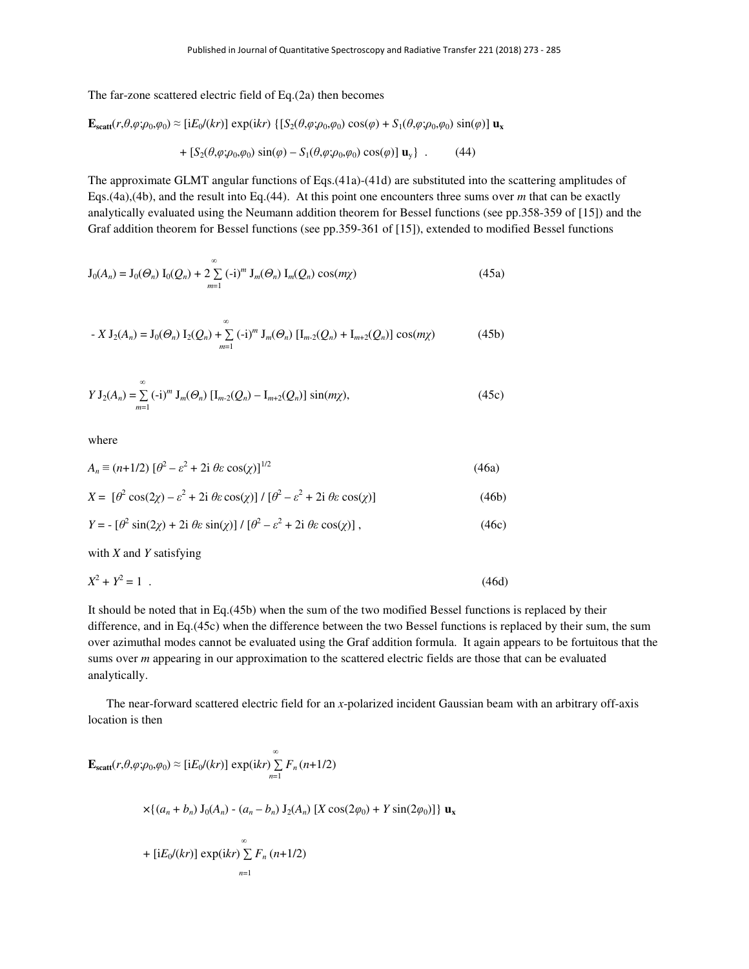The far-zone scattered electric field of Eq.(2a) then becomes

$$
\mathbf{E}_{\text{scatt}}(r,\theta,\varphi;\rho_0,\varphi_0) \approx \left[ iE_0/(kr) \right] \exp(ikr) \left\{ \left[ S_2(\theta,\varphi;\rho_0,\varphi_0) \cos(\varphi) + S_1(\theta,\varphi;\rho_0,\varphi_0) \sin(\varphi) \right] \mathbf{u}_x + \left[ S_2(\theta,\varphi;\rho_0,\varphi_0) \sin(\varphi) - S_1(\theta,\varphi;\rho_0,\varphi_0) \cos(\varphi) \right] \mathbf{u}_y \right\} \quad . \tag{44}
$$

The approximate GLMT angular functions of Eqs.(41a)-(41d) are substituted into the scattering amplitudes of Eqs.(4a),(4b), and the result into Eq.(44). At this point one encounters three sums over *m* that can be exactly analytically evaluated using the Neumann addition theorem for Bessel functions (see pp.358-359 of [15]) and the Graf addition theorem for Bessel functions (see pp.359-361 of [15]), extended to modified Bessel functions

$$
\mathbf{J}_0(A_n) = \mathbf{J}_0(\Theta_n) \mathbf{I}_0(Q_n) + 2 \sum_{m=1}^{\infty} (-i)^m \mathbf{J}_m(\Theta_n) \mathbf{I}_m(Q_n) \cos(m\chi)
$$
 (45a)

$$
-X\mathbf{J}_{2}(A_{n})=\mathbf{J}_{0}(\Theta_{n})\mathbf{I}_{2}(Q_{n})+\sum_{m=1}^{\infty}(-i)^{m}\mathbf{J}_{m}(\Theta_{n})\left[\mathbf{I}_{m-2}(Q_{n})+\mathbf{I}_{m+2}(Q_{n})\right]\cos(m\chi)
$$
(45b)

$$
Y J_2(A_n) = \sum_{m=1}^{\infty} (-i)^m J_m(\Theta_n) [I_{m-2}(Q_n) - I_{m+2}(Q_n)] \sin(m\chi), \qquad (45c)
$$

where

$$
A_n \equiv (n+1/2) \left[\theta^2 - \varepsilon^2 + 2i \theta \varepsilon \cos(\chi)\right]^{1/2}
$$
 (46a)

$$
X = \left[\theta^2 \cos(2\chi) - \varepsilon^2 + 2i \theta \varepsilon \cos(\chi)\right] / \left[\theta^2 - \varepsilon^2 + 2i \theta \varepsilon \cos(\chi)\right] \tag{46b}
$$

$$
Y = -\left[\theta^2 \sin(2\chi) + 2i \theta \varepsilon \sin(\chi)\right] / \left[\theta^2 - \varepsilon^2 + 2i \theta \varepsilon \cos(\chi)\right],\tag{46c}
$$

with *X* and *Y* satisfying

$$
X^2 + Y^2 = 1 \tag{46d}
$$

It should be noted that in Eq.(45b) when the sum of the two modified Bessel functions is replaced by their difference, and in Eq.(45c) when the difference between the two Bessel functions is replaced by their sum, the sum over azimuthal modes cannot be evaluated using the Graf addition formula. It again appears to be fortuitous that the sums over *m* appearing in our approximation to the scattered electric fields are those that can be evaluated analytically.

 The near-forward scattered electric field for an *x*-polarized incident Gaussian beam with an arbitrary off-axis location is then

$$
\mathbf{E}_{\text{scatt}}(r,\theta,\varphi;\rho_0,\varphi_0) \approx [\text{i}E_0/(kr)] \exp(\text{i}kr) \sum_{n=1}^{\infty} F_n(n+1/2)
$$
  
 
$$
\times \{(a_n + b_n) \text{ J}_0(A_n) - (a_n - b_n) \text{ J}_2(A_n) \text{ [X } \cos(2\varphi_0) + Y \sin(2\varphi_0)]\} \mathbf{u}_x
$$
  
+ 
$$
[\text{i}E_0/(kr)] \exp(\text{i}kr) \sum_{n=1}^{\infty} F_n(n+1/2)
$$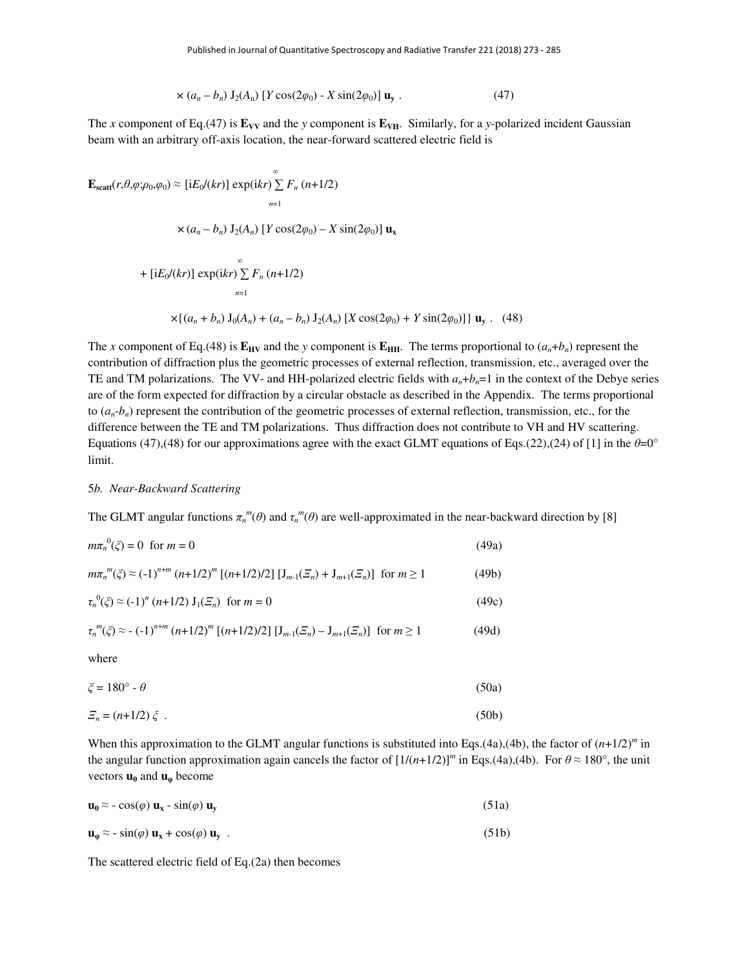$$
\times (a_n - b_n) J_2(A_n) [Y \cos(2\varphi_0) - X \sin(2\varphi_0)] \mathbf{u}_y. \tag{47}
$$

The *x* component of Eq.(47) is  $\mathbf{E}_{VV}$  and the *y* component is  $\mathbf{E}_{VH}$ . Similarly, for a *y*-polarized incident Gaussian beam with an arbitrary off-axis location, the near-forward scattered electric field is

$$
\mathbf{E}_{\text{scatt}}(r, \theta, \varphi; \rho_0, \varphi_0) \approx [\text{i}E_0/(kr)] \exp(\text{i}kr) \sum_{n=1}^{\infty} F_n (n+1/2)
$$
  

$$
\times (a_n - b_n) \mathbf{J}_2(A_n) [Y \cos(2\varphi_0) - X \sin(2\varphi_0)] \mathbf{u}_x
$$
  
+ 
$$
[\text{i}E_0/(kr)] \exp(\text{i}kr) \sum_{n=1}^{\infty} F_n (n+1/2)
$$
  

$$
\times \{(a_n + b_n) \mathbf{J}_0(A_n) + (a_n - b_n) \mathbf{J}_2(A_n) [X \cos(2\varphi_0) + Y \sin(2\varphi_0)] \} \mathbf{u}_y. (48)
$$

The *x* component of Eq.(48) is  $\mathbf{E}_{\text{HV}}$  and the *y* component is  $\mathbf{E}_{\text{HH}}$ . The terms proportional to  $(a_n + b_n)$  represent the contribution of diffraction plus the geometric processes of external reflection, transmission, etc., averaged over the TE and TM polarizations. The VV- and HH-polarized electric fields with  $a_n + b_n = 1$  in the context of the Debye series are of the form expected for diffraction by a circular obstacle as described in the Appendix. The terms proportional to  $(a_n-b_n)$  represent the contribution of the geometric processes of external reflection, transmission, etc., for the difference between the TE and TM polarizations. Thus diffraction does not contribute to VH and HV scattering. Equations (47),(48) for our approximations agree with the exact GLMT equations of Eqs.(22),(24) of [1] in the  $\theta=0^{\circ}$ limit.

#### 5*b. Near-Backward Scattering*

The GLMT angular functions  $\pi_n^m(\theta)$  and  $\tau_n^m(\theta)$  are well-approximated in the near-backward direction by [8]

| $m\pi_n^{0}(\zeta) = 0$ for $m = 0$                                                                                                           | (49a) |
|-----------------------------------------------------------------------------------------------------------------------------------------------|-------|
| $m\pi_n^{m}(\xi) \approx (-1)^{n+m} (n+1/2)^m [(n+1/2)/2] [J_{m-1}(\xi_n) + J_{m+1}(\xi_n)]$ for $m \ge 1$                                    | (49b) |
| $\tau_n^{0}(\xi) \approx (-1)^n (n+1/2) J_1(\xi_n)$ for $m = 0$                                                                               | (49c) |
| $\tau_n^{m}(\xi) \approx -(-1)^{n+m} (n+1/2)^m [(n+1/2)/2] [\mathbf{J}_{m-1}(\mathcal{Z}_n) - \mathbf{J}_{m+1}(\mathcal{Z}_n)]$ for $m \ge 1$ | (49d) |
| where                                                                                                                                         |       |
| $\xi = 180^\circ - \theta$                                                                                                                    | (50a) |
| $E_n = (n+1/2) \xi$ .                                                                                                                         | (50b) |

When this approximation to the GLMT angular functions is substituted into Eqs.(4a),(4b), the factor of  $(n+1/2)^m$  in the angular function approximation again cancels the factor of  $[1/(n+1/2)]^m$  in Eqs.(4a),(4b). For  $\theta \approx 180^\circ$ , the unit vectors  $\mathbf{u}_{\theta}$  and  $\mathbf{u}_{\phi}$  become

| $\mathbf{u}_{\theta} \approx -\cos(\varphi) \mathbf{u}_{\mathbf{x}} - \sin(\varphi) \mathbf{u}_{\mathbf{y}}$ | (51a) |
|--------------------------------------------------------------------------------------------------------------|-------|
|--------------------------------------------------------------------------------------------------------------|-------|

$$
\mathbf{u}_{\varphi} \approx -\sin(\varphi) \mathbf{u}_{\mathbf{x}} + \cos(\varphi) \mathbf{u}_{\mathbf{y}} \tag{51b}
$$

The scattered electric field of Eq.(2a) then becomes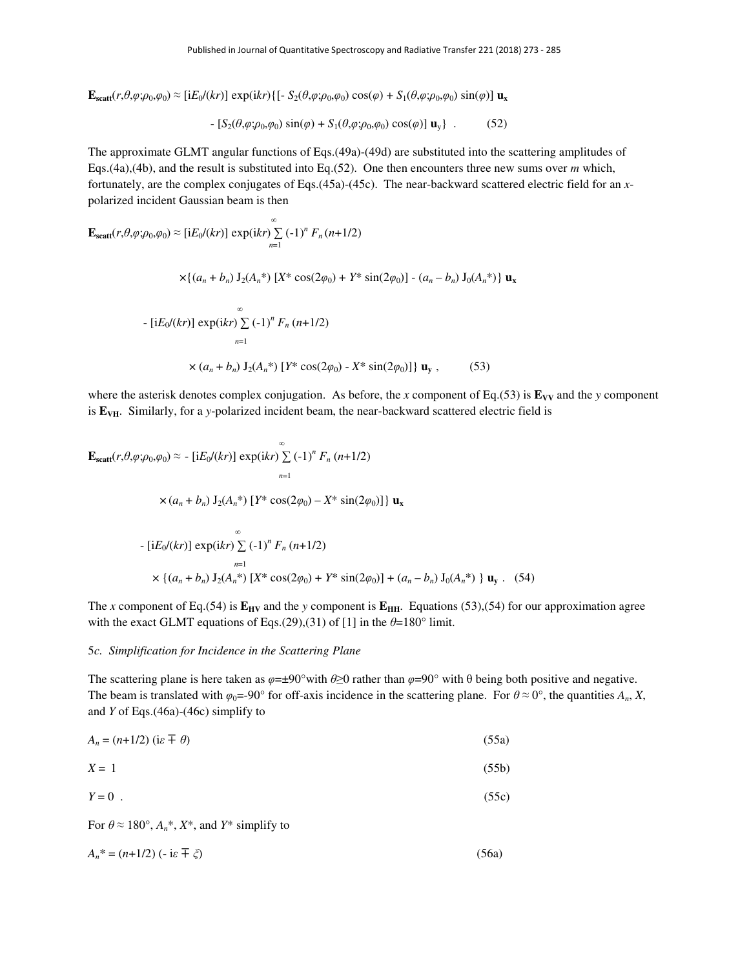$\mathbf{E}_{\text{scatt}}(r,\theta,\varphi;\rho_0,\varphi_0) \approx [iE_0/(kr)] \exp(ikr) \{[-S_2(\theta,\varphi;\rho_0,\varphi_0)\cos(\varphi) + S_1(\theta,\varphi;\rho_0,\varphi_0)\sin(\varphi)]\mathbf{u}_x$ 

$$
- [S_2(\theta, \varphi; \rho_0, \varphi_0) \sin(\varphi) + S_1(\theta, \varphi; \rho_0, \varphi_0) \cos(\varphi)] \mathbf{u}_y \} . \tag{52}
$$

The approximate GLMT angular functions of Eqs.(49a)-(49d) are substituted into the scattering amplitudes of Eqs.(4a),(4b), and the result is substituted into Eq.(52). One then encounters three new sums over *m* which, fortunately, are the complex conjugates of Eqs.(45a)-(45c). The near-backward scattered electric field for an *x*polarized incident Gaussian beam is then

$$
\mathbf{E}_{\text{scatt}}(r, \theta, \varphi; \rho_0, \varphi_0) \approx \left[ iE_0/(kr) \right] \exp(ikr) \sum_{n=1}^{\infty} (-1)^n F_n(n+1/2)
$$
\n
$$
\times \left\{ (a_n + b_n) \int_2 (A_n^*) \left[ X^* \cos(2\varphi_0) + Y^* \sin(2\varphi_0) \right] - (a_n - b_n) \int_0 (A_n^*) \right\} \mathbf{u}_x
$$
\n
$$
- \left[ iE_0/(kr) \right] \exp(ikr) \sum_{n=1}^{\infty} (-1)^n F_n(n+1/2)
$$
\n
$$
\times (a_n + b_n) \int_2 (A_n^*) \left[ Y^* \cos(2\varphi_0) - X^* \sin(2\varphi_0) \right] \right\} \mathbf{u}_y , \qquad (53)
$$

where the asterisk denotes complex conjugation. As before, the *x* component of Eq.(53) is  $\mathbf{E}_{VV}$  and the *y* component is **E**<sub>VH</sub>. Similarly, for a *y*-polarized incident beam, the near-backward scattered electric field is

$$
\mathbf{E}_{\text{scatt}}(r, \theta, \varphi; \rho_0, \varphi_0) \approx -\left[ iE_0/(kr) \right] \exp(ikr) \sum_{n=1}^{\infty} (-1)^n F_n (n+1/2)
$$
\n
$$
\times (a_n + b_n) J_2(A_n^*) \left[ Y^* \cos(2\varphi_0) - X^* \sin(2\varphi_0) \right] \} \mathbf{u}_x
$$
\n
$$
- \left[ iE_0/(kr) \right] \exp(ikr) \sum_{n=1}^{\infty} (-1)^n F_n (n+1/2)
$$
\n
$$
\times \left\{ (a_n + b_n) J_2(A_n^*) \left[ X^* \cos(2\varphi_0) + Y^* \sin(2\varphi_0) \right] + (a_n - b_n) J_0(A_n^*) \right\} \mathbf{u}_y. (54)
$$

The *x* component of Eq.(54) is  $\mathbf{E}_{\text{HV}}$  and the *y* component is  $\mathbf{E}_{\text{HH}}$ . Equations (53),(54) for our approximation agree with the exact GLMT equations of Eqs.(29),(31) of [1] in the  $\theta$ =180° limit.

## 5*c. Simplification for Incidence in the Scattering Plane*

The scattering plane is here taken as  $\varphi = \pm 90^\circ$  with  $\theta \ge 0$  rather than  $\varphi = 90^\circ$  with  $\theta$  being both positive and negative. The beam is translated with  $\varphi_0 = -90^\circ$  for off-axis incidence in the scattering plane. For  $\theta \approx 0^\circ$ , the quantities  $A_n$ , *X*, and *Y* of Eqs.(46a)-(46c) simplify to

$$
A_n = (n+1/2) \text{ (i.e } \pm \theta)
$$
 (55a)

$$
X = 1 \tag{55b}
$$

$$
Y = 0 \tag{55c}
$$

For  $\theta \approx 180^\circ$ ,  $A_n^*$ ,  $X^*$ , and  $Y^*$  simplify to

$$
A_n^* = (n+1/2) \left( -i\varepsilon \mp \zeta \right) \tag{56a}
$$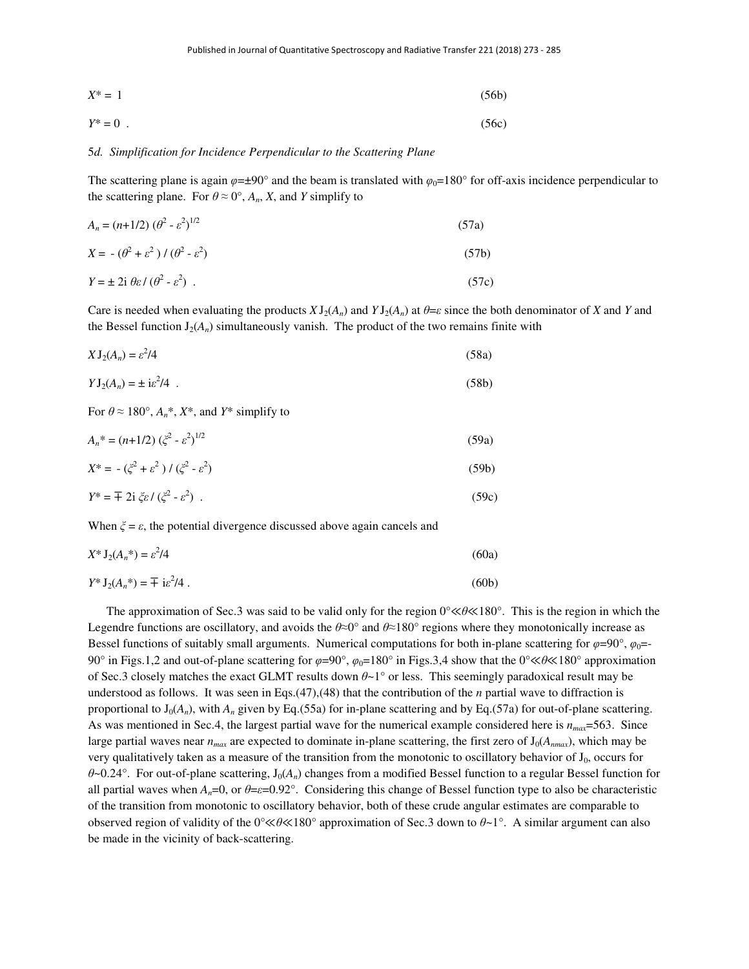$$
X^* = 1 \tag{56b}
$$

$$
Y^* = 0 \tag{56c}
$$

#### 5*d. Simplification for Incidence Perpendicular to the Scattering Plane*

The scattering plane is again  $\varphi = \pm 90^\circ$  and the beam is translated with  $\varphi_0 = 180^\circ$  for off-axis incidence perpendicular to the scattering plane. For  $\theta \approx 0^\circ$ ,  $A_n$ , X, and Y simplify to

$$
A_n = (n+1/2) \left(\theta^2 - \varepsilon^2\right)^{1/2} \tag{57a}
$$

$$
X = -(\theta^2 + \varepsilon^2) / (\theta^2 - \varepsilon^2)
$$
\n
$$
Y = \pm 2i \theta \varepsilon / (\theta^2 - \varepsilon^2) .
$$
\n(57b)

Care is needed when evaluating the products  $X J_2(A_n)$  and  $Y J_2(A_n)$  at  $\theta = \varepsilon$  since the both denominator of *X* and *Y* and the Bessel function  $J_2(A_n)$  simultaneously vanish. The product of the two remains finite with

$$
X J_2(A_n) = \varepsilon^2 / 4 \tag{58a}
$$

$$
YJ_2(A_n) = \pm i\varepsilon^2/4 \tag{58b}
$$

For  $\theta \approx 180^\circ$ ,  $A_n^*$ ,  $X^*$ , and  $Y^*$  simplify to

$$
A_n^* = (n+1/2) \left(\zeta^2 - \varepsilon^2\right)^{1/2} \tag{59a}
$$

$$
X^* = -(\zeta^2 + \varepsilon^2) / (\zeta^2 - \varepsilon^2)
$$
 (59b)

$$
Y^* = \pm 2i \xi \varepsilon / (\xi^2 - \varepsilon^2) \tag{59c}
$$

When  $\zeta = \varepsilon$ , the potential divergence discussed above again cancels and

$$
X^* \mathbf{J}_2(A_n^*) = \varepsilon^2 / 4 \tag{60a}
$$

$$
Y^* \mathbf{J}_2(A_n^*) = \pm i \varepsilon^2 / 4 \tag{60b}
$$

 The approximation of Sec.3 was said to be valid only for the region 0°≪*θ*≪180°. This is the region in which the Legendre functions are oscillatory, and avoids the  $\theta \approx 0^\circ$  and  $\theta \approx 180^\circ$  regions where they monotonically increase as Bessel functions of suitably small arguments. Numerical computations for both in-plane scattering for  $\varphi=90^\circ$ ,  $\varphi_0=$ 90° in Figs.1,2 and out-of-plane scattering for  $\varphi$ =90°,  $\varphi$ <sub>0</sub>=180° in Figs.3,4 show that the 0°≪*θ*≪180° approximation of Sec.3 closely matches the exact GLMT results down *θ*~1° or less. This seemingly paradoxical result may be understood as follows. It was seen in Eqs.(47),(48) that the contribution of the *n* partial wave to diffraction is proportional to  $J_0(A_n)$ , with  $A_n$  given by Eq.(55a) for in-plane scattering and by Eq.(57a) for out-of-plane scattering. As was mentioned in Sec.4, the largest partial wave for the numerical example considered here is *nmax*=563. Since large partial waves near  $n_{max}$  are expected to dominate in-plane scattering, the first zero of  $J_0(A_{max})$ , which may be very qualitatively taken as a measure of the transition from the monotonic to oscillatory behavior of  $J_0$ , occurs for *θ*~0.24°. For out-of-plane scattering, J0(*An*) changes from a modified Bessel function to a regular Bessel function for all partial waves when  $A_n=0$ , or  $\theta=\epsilon=0.92^\circ$ . Considering this change of Bessel function type to also be characteristic of the transition from monotonic to oscillatory behavior, both of these crude angular estimates are comparable to observed region of validity of the 0°≪*θ*≪180° approximation of Sec.3 down to *θ*~1°. A similar argument can also be made in the vicinity of back-scattering.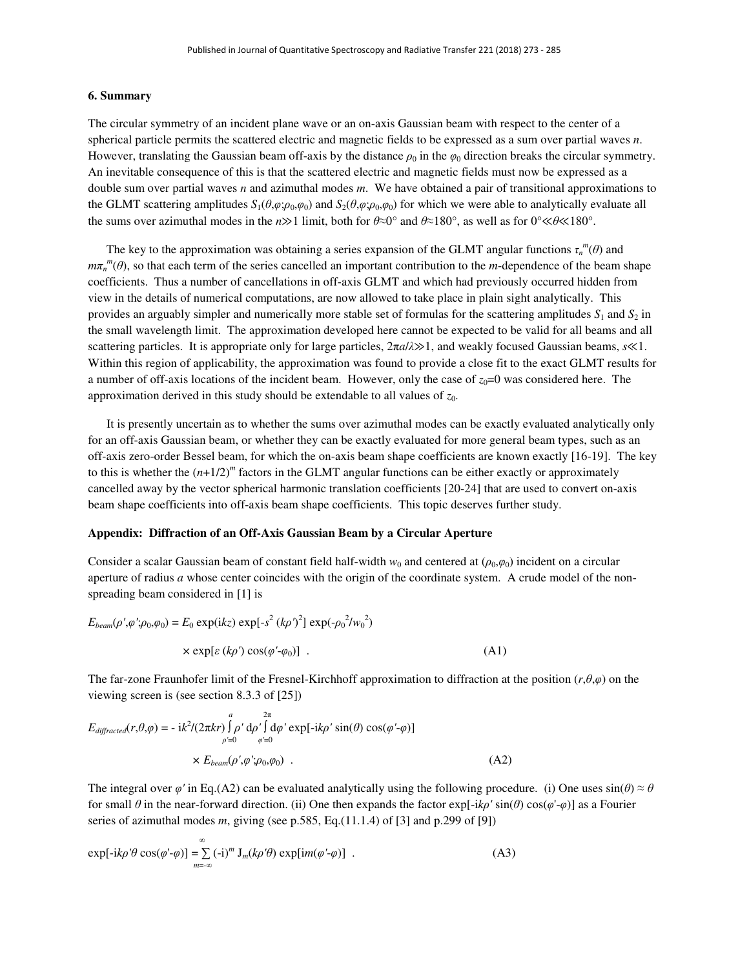#### **6. Summary**

The circular symmetry of an incident plane wave or an on-axis Gaussian beam with respect to the center of a spherical particle permits the scattered electric and magnetic fields to be expressed as a sum over partial waves *n*. However, translating the Gaussian beam off-axis by the distance  $\rho_0$  in the  $\varphi_0$  direction breaks the circular symmetry. An inevitable consequence of this is that the scattered electric and magnetic fields must now be expressed as a double sum over partial waves *n* and azimuthal modes *m*. We have obtained a pair of transitional approximations to the GLMT scattering amplitudes  $S_1(\theta, \varphi; \rho_0, \varphi_0)$  and  $S_2(\theta, \varphi; \rho_0, \varphi_0)$  for which we were able to analytically evaluate all the sums over azimuthal modes in the *n*≫1 limit, both for *θ*≈0° and *θ*≈180°, as well as for 0°≪*θ*≪180°.

The key to the approximation was obtaining a series expansion of the GLMT angular functions  $\tau_n^m(\theta)$  and  $m\pi_n^m(\theta)$ , so that each term of the series cancelled an important contribution to the *m*-dependence of the beam shape coefficients. Thus a number of cancellations in off-axis GLMT and which had previously occurred hidden from view in the details of numerical computations, are now allowed to take place in plain sight analytically. This provides an arguably simpler and numerically more stable set of formulas for the scattering amplitudes  $S_1$  and  $S_2$  in the small wavelength limit. The approximation developed here cannot be expected to be valid for all beams and all scattering particles. It is appropriate only for large particles, 2π*a*/*λ*≫1, and weakly focused Gaussian beams, *s*≪1. Within this region of applicability, the approximation was found to provide a close fit to the exact GLMT results for a number of off-axis locations of the incident beam. However, only the case of  $z_0=0$  was considered here. The approximation derived in this study should be extendable to all values of  $z_0$ .

 It is presently uncertain as to whether the sums over azimuthal modes can be exactly evaluated analytically only for an off-axis Gaussian beam, or whether they can be exactly evaluated for more general beam types, such as an off-axis zero-order Bessel beam, for which the on-axis beam shape coefficients are known exactly [16-19]. The key to this is whether the  $(n+1/2)^m$  factors in the GLMT angular functions can be either exactly or approximately cancelled away by the vector spherical harmonic translation coefficients [20-24] that are used to convert on-axis beam shape coefficients into off-axis beam shape coefficients. This topic deserves further study.

#### **Appendix: Diffraction of an Off-Axis Gaussian Beam by a Circular Aperture**

Consider a scalar Gaussian beam of constant field half-width  $w_0$  and centered at ( $\rho_0, \varphi_0$ ) incident on a circular aperture of radius *a* whose center coincides with the origin of the coordinate system. A crude model of the nonspreading beam considered in [1] is

$$
E_{beam}(\rho', \varphi'; \rho_0, \varphi_0) = E_0 \exp(ikz) \exp[-s^2 (k\rho')^2] \exp(-\rho_0^2/w_0^2)
$$
  
×  $\exp[\varepsilon (k\rho') \cos(\varphi' - \varphi_0)]$ . (A1)

The far-zone Fraunhofer limit of the Fresnel-Kirchhoff approximation to diffraction at the position (*r*,*θ*,*φ*) on the viewing screen is (see section 8.3.3 of [25])

$$
E_{differential}(r,\theta,\varphi) = -ik^2/(2\pi kr)\int_{\rho'=0}^{a} \rho' d\rho' \int_{\varphi'=0}^{2\pi} d\varphi' \exp[-ik\rho' \sin(\theta) \cos(\varphi'-\varphi)]
$$
  
×  $E_{beam}(\rho',\varphi';\rho_0,\varphi_0)$ . (A2)

The integral over  $\varphi'$  in Eq.(A2) can be evaluated analytically using the following procedure. (i) One uses  $\sin(\theta) \approx \theta$ for small *θ* in the near-forward direction. (ii) One then expands the factor exp[-i*kρ'* sin(*θ*) cos(*φ*'-*φ*)] as a Fourier series of azimuthal modes *m*, giving (see p.585, Eq.(11.1.4) of [3] and p.299 of [9])

$$
\exp[-ik\rho'\theta\cos(\varphi'-\varphi)] = \sum_{m=-\infty}^{\infty} (-i)^m J_m(k\rho'\theta) \exp[im(\varphi'-\varphi)] \quad . \tag{A3}
$$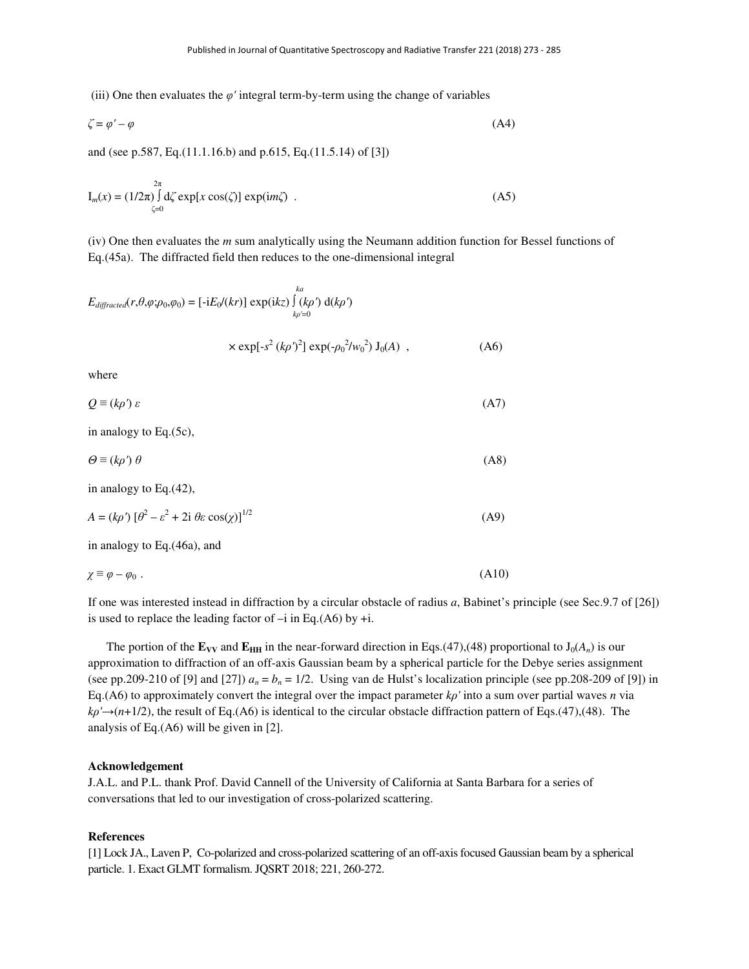(iii) One then evaluates the  $\varphi'$  integral term-by-term using the change of variables

$$
\zeta = \varphi' - \varphi \tag{A4}
$$

and (see p.587, Eq.(11.1.16.b) and p.615, Eq.(11.5.14) of [3])

$$
I_m(x) = (1/2\pi) \int_{\zeta=0}^{2\pi} d\zeta \exp[x \cos(\zeta)] \exp(im\zeta) . \tag{A5}
$$

(iv) One then evaluates the *m* sum analytically using the Neumann addition function for Bessel functions of Eq.(45a). The diffracted field then reduces to the one-dimensional integral

$$
E_{differential}(r,\theta,\varphi;\rho_0,\varphi_0) = [-iE_0/(kr)] \exp(ikz) \int_{k\rho'=0}^{ka} (k\rho') d(k\rho')
$$
  
 
$$
\times \exp[-s^2 (k\rho')^2] \exp(-\rho_0^2/w_0^2) J_0(A) , \qquad (A6)
$$

where

$$
Q \equiv (k\rho')\,\varepsilon \tag{A7}
$$

in analogy to Eq.(5c),

$$
\Theta \equiv (k\rho')\,\theta \tag{A8}
$$

in analogy to Eq.(42),

$$
A = (k\rho') \left[\theta^2 - \varepsilon^2 + 2i \theta \varepsilon \cos(\chi)\right]^{1/2}
$$
 (A9)

in analogy to Eq.(46a), and

$$
\chi \equiv \varphi - \varphi_0 \ . \tag{A10}
$$

If one was interested instead in diffraction by a circular obstacle of radius *a*, Babinet's principle (see Sec.9.7 of [26]) is used to replace the leading factor of  $-i$  in Eq.(A6) by  $+i$ .

The portion of the  $\mathbf{E}_{VV}$  and  $\mathbf{E}_{HH}$  in the near-forward direction in Eqs.(47),(48) proportional to  $J_0(A_n)$  is our approximation to diffraction of an off-axis Gaussian beam by a spherical particle for the Debye series assignment (see pp.209-210 of [9] and [27])  $a_n = b_n = 1/2$ . Using van de Hulst's localization principle (see pp.208-209 of [9]) in Eq.(A6) to approximately convert the integral over the impact parameter  $k\rho'$  into a sum over partial waves *n* via  $k\rho' \rightarrow (n+1/2)$ , the result of Eq.(A6) is identical to the circular obstacle diffraction pattern of Eqs.(47),(48). The analysis of Eq.(A6) will be given in [2].

#### **Acknowledgement**

J.A.L. and P.L. thank Prof. David Cannell of the University of California at Santa Barbara for a series of conversations that led to our investigation of cross-polarized scattering.

#### **References**

[1] Lock JA., Laven P, Co-polarized and cross-polarized scattering of an off-axis focused Gaussian beam by a spherical particle. 1. Exact GLMT formalism. JQSRT 2018; 221, 260-272.